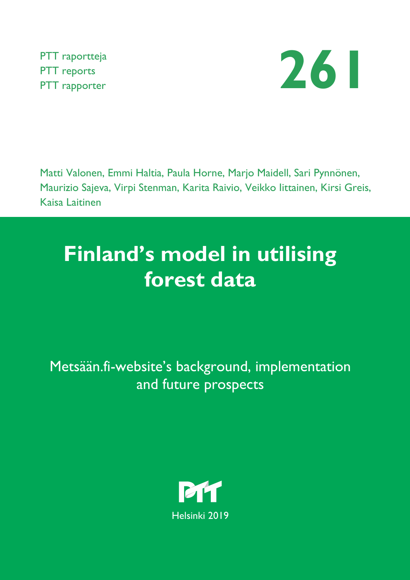PTT raportteja PTT reports



Matti Valonen, Emmi Haltia, Paula Horne, Marjo Maidell, Sari Pynnönen, Maurizio Sajeva, Virpi Stenman, Karita Raivio, Veikko Iittainen, Kirsi Greis, Kaisa Laitinen

# **Finland's model in utilising forest data**

Metsään.fi-website's background, implementation and future prospects

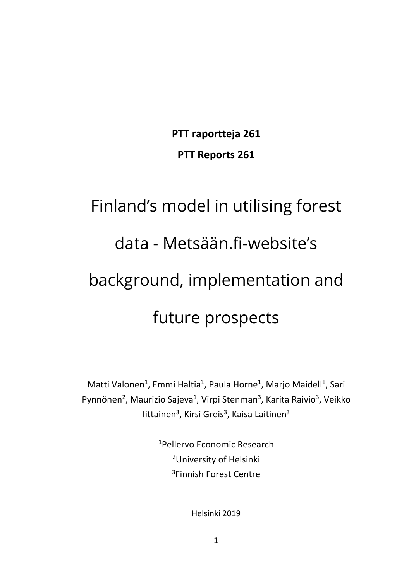**PTT raportteja 261 PTT Reports 261**

# Finland's model in utilising forest data - Metsään.fi-website's background, implementation and future prospects

Matti Valonen<sup>1</sup>, Emmi Haltia<sup>1</sup>, Paula Horne<sup>1</sup>, Marjo Maidell<sup>1</sup>, Sari Pynnönen<sup>2</sup>, Maurizio Sajeva<sup>1</sup>, Virpi Stenman<sup>3</sup>, Karita Raivio<sup>3</sup>, Veikko littainen<sup>3</sup>, Kirsi Greis<sup>3</sup>, Kaisa Laitinen<sup>3</sup>

> 1 Pellervo Economic Research 2University of Helsinki 3 Finnish Forest Centre

> > Helsinki 2019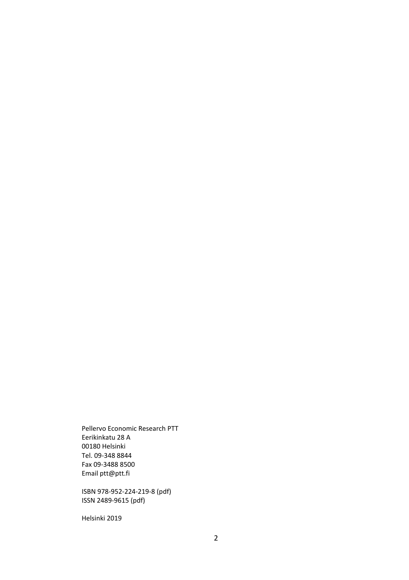Pellervo Economic Research PTT Eerikinkatu 28 A 00180 Helsinki Tel. 09-348 8844 Fax 09-3488 8500 Email ptt@ptt.fi

ISBN 978-952-224-219-8 (pdf) ISSN 2489-9615 (pdf)

Helsinki 2019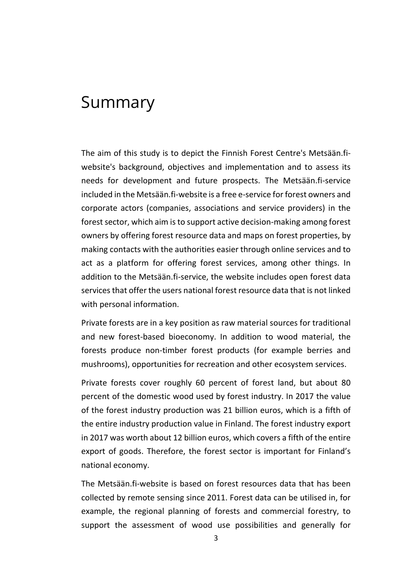# Summary

The aim of this study is to depict the Finnish Forest Centre's Metsään.fiwebsite's background, objectives and implementation and to assess its needs for development and future prospects. The Metsään.fi-service included in the Metsään.fi-website is a free e-service for forest owners and corporate actors (companies, associations and service providers) in the forest sector, which aim is to support active decision-making among forest owners by offering forest resource data and maps on forest properties, by making contacts with the authorities easier through online services and to act as a platform for offering forest services, among other things. In addition to the Metsään.fi-service, the website includes open forest data services that offer the users national forest resource data that is not linked with personal information.

Private forests are in a key position as raw material sources for traditional and new forest-based bioeconomy. In addition to wood material, the forests produce non-timber forest products (for example berries and mushrooms), opportunities for recreation and other ecosystem services.

Private forests cover roughly 60 percent of forest land, but about 80 percent of the domestic wood used by forest industry. In 2017 the value of the forest industry production was 21 billion euros, which is a fifth of the entire industry production value in Finland. The forest industry export in 2017 was worth about 12 billion euros, which covers a fifth of the entire export of goods. Therefore, the forest sector is important for Finland's national economy.

The Metsään.fi-website is based on forest resources data that has been collected by remote sensing since 2011. Forest data can be utilised in, for example, the regional planning of forests and commercial forestry, to support the assessment of wood use possibilities and generally for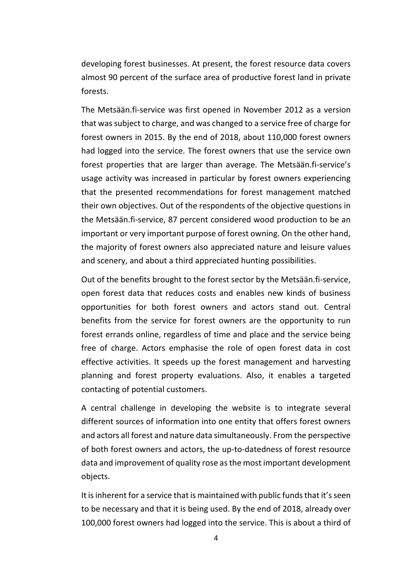developing forest businesses. At present, the forest resource data covers almost 90 percent of the surface area of productive forest land in private forests.

The Metsään.fi-service was first opened in November 2012 as a version that wassubject to charge, and was changed to a service free of charge for forest owners in 2015. By the end of 2018, about 110,000 forest owners had logged into the service. The forest owners that use the service own forest properties that are larger than average. The Metsään.fi-service's usage activity was increased in particular by forest owners experiencing that the presented recommendations for forest management matched their own objectives. Out of the respondents of the objective questions in the Metsään.fi-service, 87 percent considered wood production to be an important or very important purpose of forest owning. On the other hand, the majority of forest owners also appreciated nature and leisure values and scenery, and about a third appreciated hunting possibilities.

Out of the benefits brought to the forest sector by the Metsään.fi-service, open forest data that reduces costs and enables new kinds of business opportunities for both forest owners and actors stand out. Central benefits from the service for forest owners are the opportunity to run forest errands online, regardless of time and place and the service being free of charge. Actors emphasise the role of open forest data in cost effective activities. It speeds up the forest management and harvesting planning and forest property evaluations. Also, it enables a targeted contacting of potential customers.

A central challenge in developing the website is to integrate several different sources of information into one entity that offers forest owners and actors all forest and nature data simultaneously. From the perspective of both forest owners and actors, the up-to-datedness of forest resource data and improvement of quality rose as the most important development objects.

It is inherent for a service that is maintained with public funds that it's seen to be necessary and that it is being used. By the end of 2018, already over 100,000 forest owners had logged into the service. This is about a third of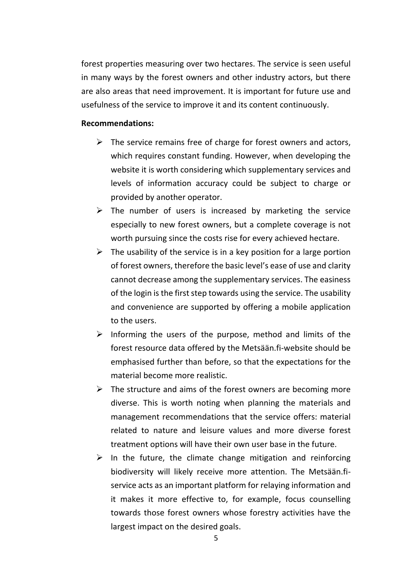forest properties measuring over two hectares. The service is seen useful in many ways by the forest owners and other industry actors, but there are also areas that need improvement. It is important for future use and usefulness of the service to improve it and its content continuously.

#### **Recommendations:**

- $\triangleright$  The service remains free of charge for forest owners and actors, which requires constant funding. However, when developing the website it is worth considering which supplementary services and levels of information accuracy could be subject to charge or provided by another operator.
- $\triangleright$  The number of users is increased by marketing the service especially to new forest owners, but a complete coverage is not worth pursuing since the costs rise for every achieved hectare.
- $\triangleright$  The usability of the service is in a key position for a large portion of forest owners, therefore the basic level's ease of use and clarity cannot decrease among the supplementary services. The easiness of the login is the first step towards using the service. The usability and convenience are supported by offering a mobile application to the users.
- $\triangleright$  Informing the users of the purpose, method and limits of the forest resource data offered by the Metsään.fi-website should be emphasised further than before, so that the expectations for the material become more realistic.
- $\triangleright$  The structure and aims of the forest owners are becoming more diverse. This is worth noting when planning the materials and management recommendations that the service offers: material related to nature and leisure values and more diverse forest treatment options will have their own user base in the future.
- $\triangleright$  In the future, the climate change mitigation and reinforcing biodiversity will likely receive more attention. The Metsään.fiservice acts as an important platform for relaying information and it makes it more effective to, for example, focus counselling towards those forest owners whose forestry activities have the largest impact on the desired goals.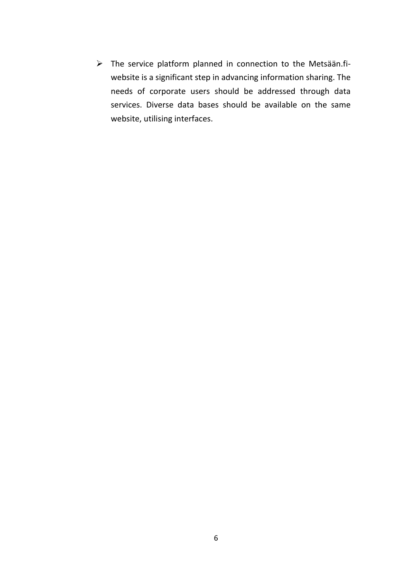$\triangleright$  The service platform planned in connection to the Metsään.fiwebsite is a significant step in advancing information sharing. The needs of corporate users should be addressed through data services. Diverse data bases should be available on the same website, utilising interfaces.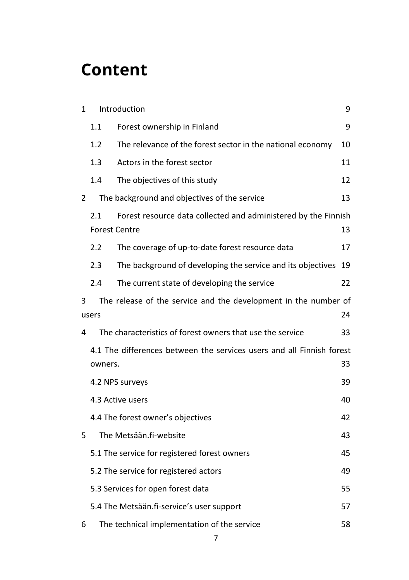# **Content**

| $\mathbf{1}$                      |                                                                                                     | Introduction<br>9                                                     |    |  |  |  |  |
|-----------------------------------|-----------------------------------------------------------------------------------------------------|-----------------------------------------------------------------------|----|--|--|--|--|
|                                   | 1.1                                                                                                 | Forest ownership in Finland                                           | 9  |  |  |  |  |
|                                   | 1.2                                                                                                 | The relevance of the forest sector in the national economy            | 10 |  |  |  |  |
|                                   | 1.3                                                                                                 | Actors in the forest sector                                           | 11 |  |  |  |  |
|                                   | 1.4                                                                                                 | The objectives of this study                                          | 12 |  |  |  |  |
| 2                                 |                                                                                                     | The background and objectives of the service                          | 13 |  |  |  |  |
|                                   | Forest resource data collected and administered by the Finnish<br>2.1<br><b>Forest Centre</b><br>13 |                                                                       |    |  |  |  |  |
|                                   | 2.2                                                                                                 | The coverage of up-to-date forest resource data                       | 17 |  |  |  |  |
|                                   | 2.3                                                                                                 | The background of developing the service and its objectives           | 19 |  |  |  |  |
|                                   | 2.4                                                                                                 | The current state of developing the service                           | 22 |  |  |  |  |
| 3                                 | The release of the service and the development in the number of<br>24<br>users                      |                                                                       |    |  |  |  |  |
| 4                                 |                                                                                                     | The characteristics of forest owners that use the service             | 33 |  |  |  |  |
|                                   | owners.                                                                                             | 4.1 The differences between the services users and all Finnish forest | 33 |  |  |  |  |
|                                   | 39<br>4.2 NPS surveys                                                                               |                                                                       |    |  |  |  |  |
|                                   |                                                                                                     | 4.3 Active users                                                      | 40 |  |  |  |  |
| 4.4 The forest owner's objectives |                                                                                                     |                                                                       |    |  |  |  |  |
| 5.                                |                                                                                                     | The Metsään.fi-website                                                | 43 |  |  |  |  |
|                                   |                                                                                                     | 5.1 The service for registered forest owners                          | 45 |  |  |  |  |
|                                   |                                                                                                     | 5.2 The service for registered actors                                 | 49 |  |  |  |  |
|                                   | 5.3 Services for open forest data<br>55                                                             |                                                                       |    |  |  |  |  |
|                                   |                                                                                                     | 5.4 The Metsään.fi-service's user support                             | 57 |  |  |  |  |
| 6                                 |                                                                                                     | The technical implementation of the service                           | 58 |  |  |  |  |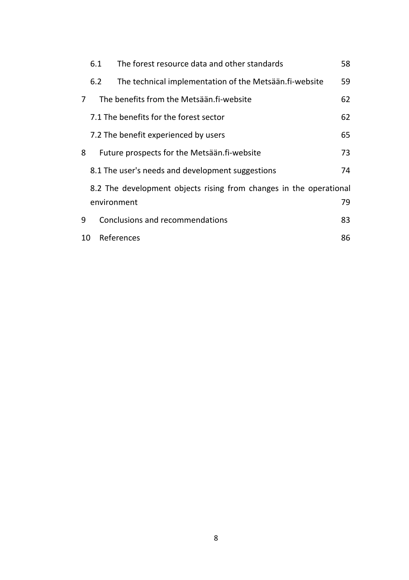|                                                                    | 6.1                                  | The forest resource data and other standards           | 58 |  |  |
|--------------------------------------------------------------------|--------------------------------------|--------------------------------------------------------|----|--|--|
|                                                                    | 6.2                                  | The technical implementation of the Metsään.fi-website | 59 |  |  |
| 7                                                                  |                                      | The benefits from the Metsään fi-website               | 62 |  |  |
|                                                                    |                                      | 7.1 The benefits for the forest sector                 | 62 |  |  |
|                                                                    | 7.2 The benefit experienced by users |                                                        |    |  |  |
| 8                                                                  |                                      | Future prospects for the Metsään.fi-website            | 73 |  |  |
|                                                                    |                                      | 8.1 The user's needs and development suggestions       | 74 |  |  |
| 8.2 The development objects rising from changes in the operational |                                      |                                                        |    |  |  |
|                                                                    |                                      | environment                                            | 79 |  |  |
| 9                                                                  |                                      | Conclusions and recommendations                        | 83 |  |  |
| 10                                                                 |                                      | References                                             | 86 |  |  |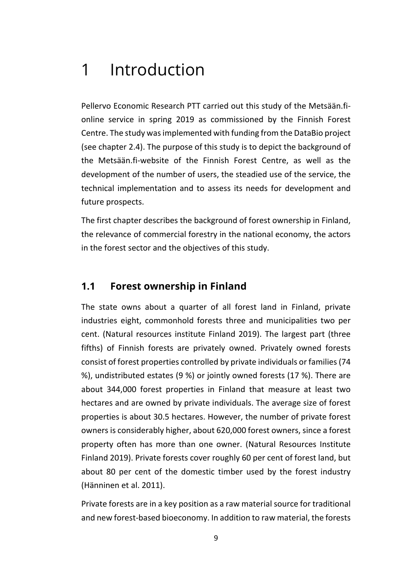# <span id="page-9-0"></span>1 Introduction

Pellervo Economic Research PTT carried out this study of the Metsään.fionline service in spring 2019 as commissioned by the Finnish Forest Centre. The study was implemented with funding from the DataBio project (see chapter 2.4). The purpose of this study is to depict the background of the Metsään.fi-website of the Finnish Forest Centre, as well as the development of the number of users, the steadied use of the service, the technical implementation and to assess its needs for development and future prospects.

The first chapter describes the background of forest ownership in Finland, the relevance of commercial forestry in the national economy, the actors in the forest sector and the objectives of this study.

### <span id="page-9-1"></span>**1.1 Forest ownership in Finland**

The state owns about a quarter of all forest land in Finland, private industries eight, commonhold forests three and municipalities two per cent. (Natural resources institute Finland 2019). The largest part (three fifths) of Finnish forests are privately owned. Privately owned forests consist of forest properties controlled by private individuals or families (74 %), undistributed estates (9 %) or jointly owned forests (17 %). There are about 344,000 forest properties in Finland that measure at least two hectares and are owned by private individuals. The average size of forest properties is about 30.5 hectares. However, the number of private forest owners is considerably higher, about 620,000 forest owners, since a forest property often has more than one owner. (Natural Resources Institute Finland 2019). Private forests cover roughly 60 per cent of forest land, but about 80 per cent of the domestic timber used by the forest industry (Hänninen et al. 2011).

Private forests are in a key position as a raw material source for traditional and new forest-based bioeconomy. In addition to raw material, the forests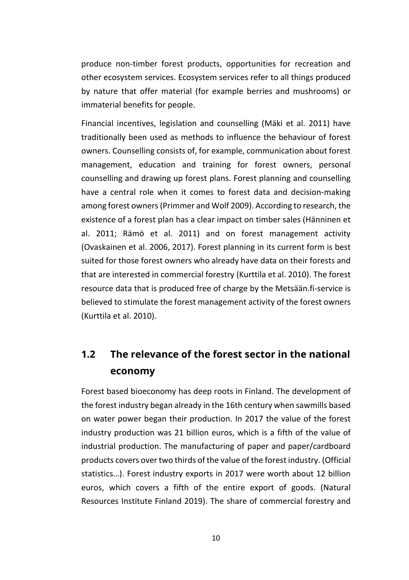produce non-timber forest products, opportunities for recreation and other ecosystem services. Ecosystem services refer to all things produced by nature that offer material (for example berries and mushrooms) or immaterial benefits for people.

Financial incentives, legislation and counselling (Mäki et al. 2011) have traditionally been used as methods to influence the behaviour of forest owners. Counselling consists of, for example, communication about forest management, education and training for forest owners, personal counselling and drawing up forest plans. Forest planning and counselling have a central role when it comes to forest data and decision-making among forest owners (Primmer and Wolf 2009). According to research, the existence of a forest plan has a clear impact on timber sales (Hänninen et al. 2011; Rämö et al. 2011) and on forest management activity (Ovaskainen et al. 2006, 2017). Forest planning in its current form is best suited for those forest owners who already have data on their forests and that are interested in commercial forestry (Kurttila et al. 2010). The forest resource data that is produced free of charge by the Metsään.fi-service is believed to stimulate the forest management activity of the forest owners (Kurttila et al. 2010).

# <span id="page-10-0"></span>**1.2 The relevance of the forest sector in the national economy**

Forest based bioeconomy has deep roots in Finland. The development of the forest industry began already in the 16th century when sawmills based on water power began their production. In 2017 the value of the forest industry production was 21 billion euros, which is a fifth of the value of industrial production. The manufacturing of paper and paper/cardboard products covers over two thirds of the value of the forest industry. (Official statistics…). Forest industry exports in 2017 were worth about 12 billion euros, which covers a fifth of the entire export of goods. (Natural Resources Institute Finland 2019). The share of commercial forestry and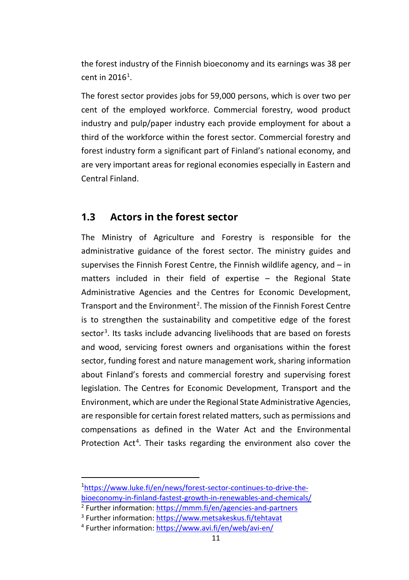the forest industry of the Finnish bioeconomy and its earnings was 38 per cent in 20[1](#page-11-1)6<sup>1</sup>.

The forest sector provides jobs for 59,000 persons, which is over two per cent of the employed workforce. Commercial forestry, wood product industry and pulp/paper industry each provide employment for about a third of the workforce within the forest sector. Commercial forestry and forest industry form a significant part of Finland's national economy, and are very important areas for regional economies especially in Eastern and Central Finland.

### <span id="page-11-0"></span>**1.3 Actors in the forest sector**

The Ministry of Agriculture and Forestry is responsible for the administrative guidance of the forest sector. The ministry guides and supervises the Finnish Forest Centre, the Finnish wildlife agency, and – in matters included in their field of expertise – the Regional State Administrative Agencies and the Centres for Economic Development, Transport and the Environment<sup>[2](#page-11-2)</sup>. The mission of the Finnish Forest Centre is to strengthen the sustainability and competitive edge of the forest sector<sup>[3](#page-11-3)</sup>. Its tasks include advancing livelihoods that are based on forests and wood, servicing forest owners and organisations within the forest sector, funding forest and nature management work, sharing information about Finland's forests and commercial forestry and supervising forest legislation. The Centres for Economic Development, Transport and the Environment, which are under the Regional State Administrative Agencies, are responsible for certain forest related matters, such as permissions and compensations as defined in the Water Act and the Environmental Protection Act<sup>[4](#page-11-4)</sup>. Their tasks regarding the environment also cover the

<span id="page-11-1"></span><sup>1</sup> [https://www.luke.fi/en/news/forest-sector-continues-to-drive-the](https://www.luke.fi/en/news/forest-sector-continues-to-drive-the-bioeconomy-in-finland-fastest-growth-in-renewables-and-chemicals/)[bioeconomy-in-finland-fastest-growth-in-renewables-and-chemicals/](https://www.luke.fi/en/news/forest-sector-continues-to-drive-the-bioeconomy-in-finland-fastest-growth-in-renewables-and-chemicals/)

<span id="page-11-2"></span><sup>2</sup> Further information[: https://mmm.fi/en/agencies-and-partners](https://mmm.fi/en/agencies-and-partners)

<sup>&</sup>lt;sup>3</sup> Further information[: https://www.metsakeskus.fi/tehtavat](https://www.metsakeskus.fi/tehtavat)

<span id="page-11-4"></span><span id="page-11-3"></span><sup>4</sup> Further information[: https://www.avi.fi/en/web/avi-en/](https://www.avi.fi/en/web/avi-en/)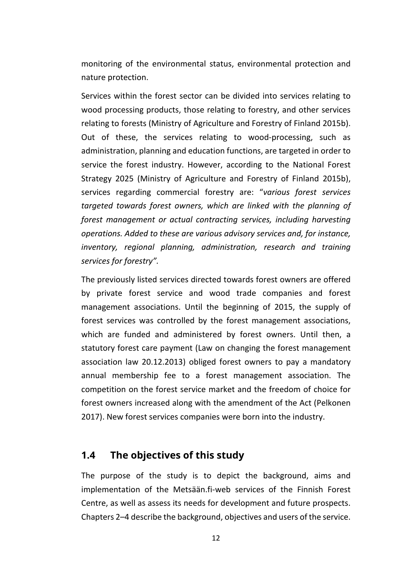monitoring of the environmental status, environmental protection and nature protection.

Services within the forest sector can be divided into services relating to wood processing products, those relating to forestry, and other services relating to forests (Ministry of Agriculture and Forestry of Finland 2015b). Out of these, the services relating to wood-processing, such as administration, planning and education functions, are targeted in order to service the forest industry. However, according to the National Forest Strategy 2025 (Ministry of Agriculture and Forestry of Finland 2015b), services regarding commercial forestry are: "*various forest services targeted towards forest owners, which are linked with the planning of forest management or actual contracting services, including harvesting operations. Added to these are various advisory services and, for instance, inventory, regional planning, administration, research and training services for forestry".*

The previously listed services directed towards forest owners are offered by private forest service and wood trade companies and forest management associations. Until the beginning of 2015, the supply of forest services was controlled by the forest management associations, which are funded and administered by forest owners. Until then, a statutory forest care payment (Law on changing the forest management association law 20.12.2013) obliged forest owners to pay a mandatory annual membership fee to a forest management association. The competition on the forest service market and the freedom of choice for forest owners increased along with the amendment of the Act (Pelkonen 2017). New forest services companies were born into the industry.

#### <span id="page-12-0"></span>**1.4 The objectives of this study**

The purpose of the study is to depict the background, aims and implementation of the Metsään.fi-web services of the Finnish Forest Centre, as well as assess its needs for development and future prospects. Chapters 2–4 describe the background, objectives and users of the service.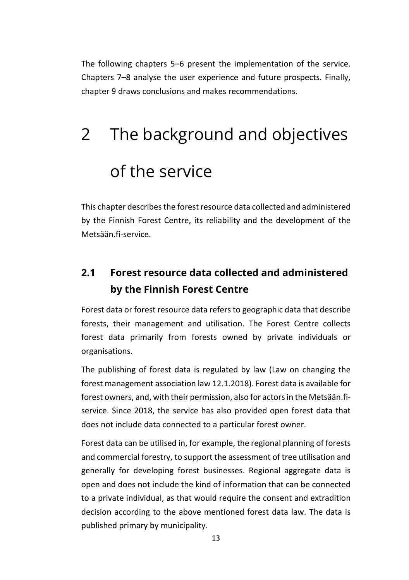The following chapters 5–6 present the implementation of the service. Chapters 7–8 analyse the user experience and future prospects. Finally, chapter 9 draws conclusions and makes recommendations.

# <span id="page-13-0"></span>2 The background and objectives of the service

This chapter describes the forest resource data collected and administered by the Finnish Forest Centre, its reliability and the development of the Metsään.fi-service.

# <span id="page-13-1"></span>**2.1 Forest resource data collected and administered by the Finnish Forest Centre**

Forest data or forest resource data refers to geographic data that describe forests, their management and utilisation. The Forest Centre collects forest data primarily from forests owned by private individuals or organisations.

The publishing of forest data is regulated by law (Law on changing the forest management association law 12.1.2018). Forest data is available for forest owners, and, with their permission, also for actors in the Metsään.fiservice. Since 2018, the service has also provided open forest data that does not include data connected to a particular forest owner.

Forest data can be utilised in, for example, the regional planning of forests and commercial forestry, to support the assessment of tree utilisation and generally for developing forest businesses. Regional aggregate data is open and does not include the kind of information that can be connected to a private individual, as that would require the consent and extradition decision according to the above mentioned forest data law. The data is published primary by municipality.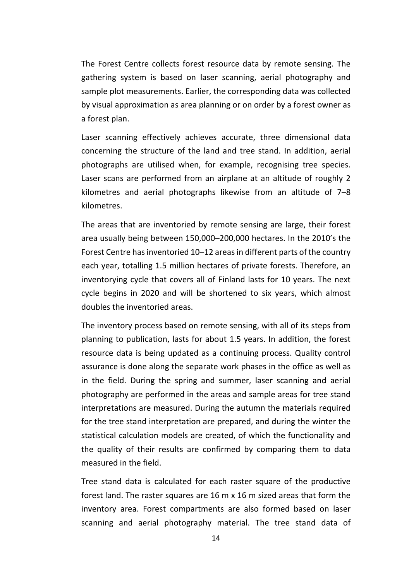The Forest Centre collects forest resource data by remote sensing. The gathering system is based on laser scanning, aerial photography and sample plot measurements. Earlier, the corresponding data was collected by visual approximation as area planning or on order by a forest owner as a forest plan.

Laser scanning effectively achieves accurate, three dimensional data concerning the structure of the land and tree stand. In addition, aerial photographs are utilised when, for example, recognising tree species. Laser scans are performed from an airplane at an altitude of roughly 2 kilometres and aerial photographs likewise from an altitude of 7–8 kilometres.

The areas that are inventoried by remote sensing are large, their forest area usually being between 150,000–200,000 hectares. In the 2010's the Forest Centre has inventoried 10–12 areas in different parts of the country each year, totalling 1.5 million hectares of private forests. Therefore, an inventorying cycle that covers all of Finland lasts for 10 years. The next cycle begins in 2020 and will be shortened to six years, which almost doubles the inventoried areas.

The inventory process based on remote sensing, with all of its steps from planning to publication, lasts for about 1.5 years. In addition, the forest resource data is being updated as a continuing process. Quality control assurance is done along the separate work phases in the office as well as in the field. During the spring and summer, laser scanning and aerial photography are performed in the areas and sample areas for tree stand interpretations are measured. During the autumn the materials required for the tree stand interpretation are prepared, and during the winter the statistical calculation models are created, of which the functionality and the quality of their results are confirmed by comparing them to data measured in the field.

Tree stand data is calculated for each raster square of the productive forest land. The raster squares are 16 m x 16 m sized areas that form the inventory area. Forest compartments are also formed based on laser scanning and aerial photography material. The tree stand data of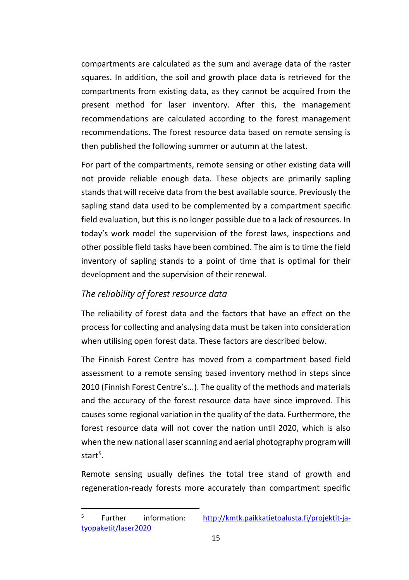compartments are calculated as the sum and average data of the raster squares. In addition, the soil and growth place data is retrieved for the compartments from existing data, as they cannot be acquired from the present method for laser inventory. After this, the management recommendations are calculated according to the forest management recommendations. The forest resource data based on remote sensing is then published the following summer or autumn at the latest.

For part of the compartments, remote sensing or other existing data will not provide reliable enough data. These objects are primarily sapling stands that will receive data from the best available source. Previously the sapling stand data used to be complemented by a compartment specific field evaluation, but this is no longer possible due to a lack of resources. In today's work model the supervision of the forest laws, inspections and other possible field tasks have been combined. The aim is to time the field inventory of sapling stands to a point of time that is optimal for their development and the supervision of their renewal.

#### *The reliability of forest resource data*

The reliability of forest data and the factors that have an effect on the process for collecting and analysing data must be taken into consideration when utilising open forest data. These factors are described below.

The Finnish Forest Centre has moved from a compartment based field assessment to a remote sensing based inventory method in steps since 2010 (Finnish Forest Centre's...). The quality of the methods and materials and the accuracy of the forest resource data have since improved. This causes some regional variation in the quality of the data. Furthermore, the forest resource data will not cover the nation until 2020, which is also when the new national laser scanning and aerial photography program will start<sup>[5](#page-15-0)</sup>.

Remote sensing usually defines the total tree stand of growth and regeneration-ready forests more accurately than compartment specific

<span id="page-15-0"></span><sup>&</sup>lt;sup>5</sup> Further information: [http://kmtk.paikkatietoalusta.fi/projektit-ja](http://kmtk.paikkatietoalusta.fi/projektit-ja-tyopaketit/laser2020)[tyopaketit/laser2020](http://kmtk.paikkatietoalusta.fi/projektit-ja-tyopaketit/laser2020)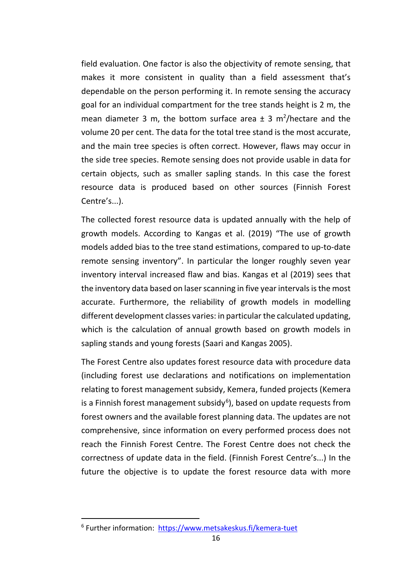field evaluation. One factor is also the objectivity of remote sensing, that makes it more consistent in quality than a field assessment that's dependable on the person performing it. In remote sensing the accuracy goal for an individual compartment for the tree stands height is 2 m, the mean diameter 3 m, the bottom surface area  $\pm$  3 m<sup>2</sup>/hectare and the volume 20 per cent. The data for the total tree stand is the most accurate, and the main tree species is often correct. However, flaws may occur in the side tree species. Remote sensing does not provide usable in data for certain objects, such as smaller sapling stands. In this case the forest resource data is produced based on other sources (Finnish Forest Centre's...).

The collected forest resource data is updated annually with the help of growth models. According to Kangas et al. (2019) "The use of growth models added bias to the tree stand estimations, compared to up-to-date remote sensing inventory". In particular the longer roughly seven year inventory interval increased flaw and bias. Kangas et al (2019) sees that the inventory data based on laser scanning in five year intervals isthe most accurate. Furthermore, the reliability of growth models in modelling different development classes varies: in particular the calculated updating, which is the calculation of annual growth based on growth models in sapling stands and young forests (Saari and Kangas 2005).

The Forest Centre also updates forest resource data with procedure data (including forest use declarations and notifications on implementation relating to forest management subsidy, Kemera, funded projects (Kemera is a Finnish forest management subsidy<sup>[6](#page-16-0)</sup>), based on update requests from forest owners and the available forest planning data. The updates are not comprehensive, since information on every performed process does not reach the Finnish Forest Centre. The Forest Centre does not check the correctness of update data in the field. (Finnish Forest Centre's...) In the future the objective is to update the forest resource data with more

<span id="page-16-0"></span><sup>6</sup> Further information: <https://www.metsakeskus.fi/kemera-tuet>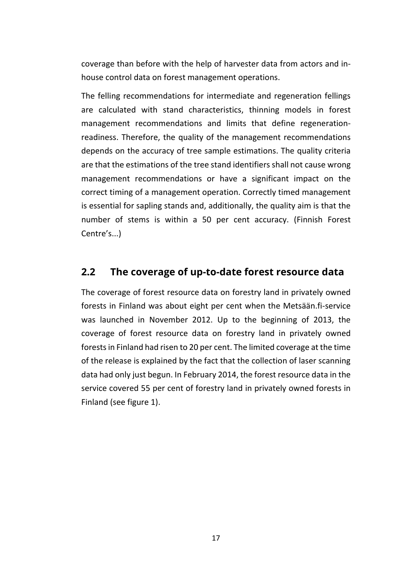coverage than before with the help of harvester data from actors and inhouse control data on forest management operations.

The felling recommendations for intermediate and regeneration fellings are calculated with stand characteristics, thinning models in forest management recommendations and limits that define regenerationreadiness. Therefore, the quality of the management recommendations depends on the accuracy of tree sample estimations. The quality criteria are that the estimations of the tree stand identifiers shall not cause wrong management recommendations or have a significant impact on the correct timing of a management operation. Correctly timed management is essential for sapling stands and, additionally, the quality aim is that the number of stems is within a 50 per cent accuracy. (Finnish Forest Centre's...)

#### <span id="page-17-0"></span>**2.2 The coverage of up-to-date forest resource data**

The coverage of forest resource data on forestry land in privately owned forests in Finland was about eight per cent when the Metsään.fi-service was launched in November 2012. Up to the beginning of 2013, the coverage of forest resource data on forestry land in privately owned forests in Finland had risen to 20 per cent. The limited coverage at the time of the release is explained by the fact that the collection of laser scanning data had only just begun. In February 2014, the forest resource data in the service covered 55 per cent of forestry land in privately owned forests in Finland (see figure 1).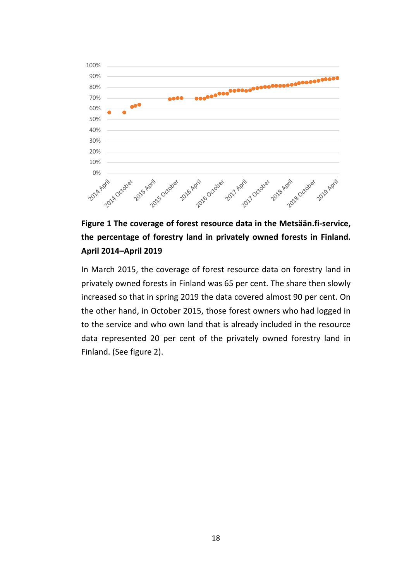

### **Figure 1 The coverage of forest resource data in the Metsään.fi-service, the percentage of forestry land in privately owned forests in Finland. April 2014–April 2019**

In March 2015, the coverage of forest resource data on forestry land in privately owned forests in Finland was 65 per cent. The share then slowly increased so that in spring 2019 the data covered almost 90 per cent. On the other hand, in October 2015, those forest owners who had logged in to the service and who own land that is already included in the resource data represented 20 per cent of the privately owned forestry land in Finland. (See figure 2).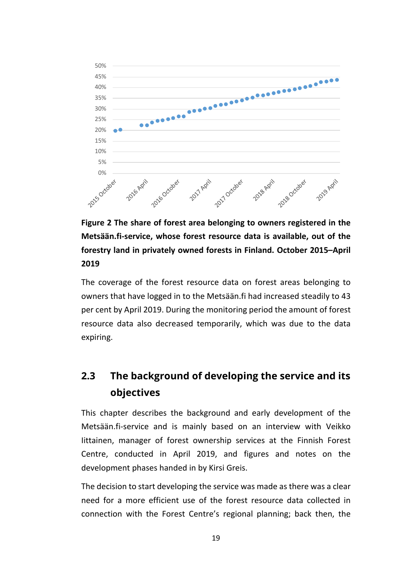

**Figure 2 The share of forest area belonging to owners registered in the Metsään.fi-service, whose forest resource data is available, out of the forestry land in privately owned forests in Finland. October 2015–April 2019**

The coverage of the forest resource data on forest areas belonging to owners that have logged in to the Metsään.fi had increased steadily to 43 per cent by April 2019. During the monitoring period the amount of forest resource data also decreased temporarily, which was due to the data expiring.

# <span id="page-19-0"></span>**2.3 The background of developing the service and its objectives**

This chapter describes the background and early development of the Metsään.fi-service and is mainly based on an interview with Veikko Iittainen, manager of forest ownership services at the Finnish Forest Centre, conducted in April 2019, and figures and notes on the development phases handed in by Kirsi Greis.

The decision to start developing the service was made as there was a clear need for a more efficient use of the forest resource data collected in connection with the Forest Centre's regional planning; back then, the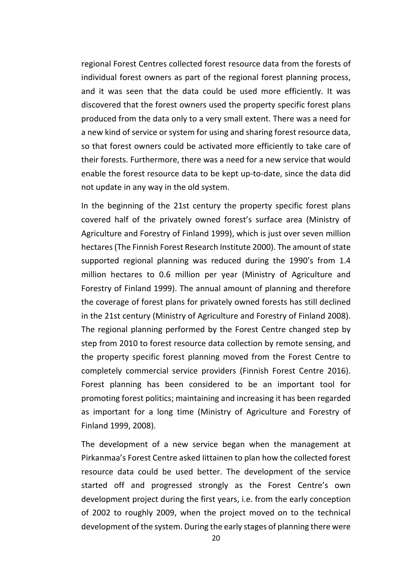regional Forest Centres collected forest resource data from the forests of individual forest owners as part of the regional forest planning process, and it was seen that the data could be used more efficiently. It was discovered that the forest owners used the property specific forest plans produced from the data only to a very small extent. There was a need for a new kind of service or system for using and sharing forest resource data, so that forest owners could be activated more efficiently to take care of their forests. Furthermore, there was a need for a new service that would enable the forest resource data to be kept up-to-date, since the data did not update in any way in the old system.

In the beginning of the 21st century the property specific forest plans covered half of the privately owned forest's surface area (Ministry of Agriculture and Forestry of Finland 1999), which is just over seven million hectares (The Finnish Forest Research Institute 2000). The amount of state supported regional planning was reduced during the 1990's from 1.4 million hectares to 0.6 million per year (Ministry of Agriculture and Forestry of Finland 1999). The annual amount of planning and therefore the coverage of forest plans for privately owned forests has still declined in the 21st century (Ministry of Agriculture and Forestry of Finland 2008). The regional planning performed by the Forest Centre changed step by step from 2010 to forest resource data collection by remote sensing, and the property specific forest planning moved from the Forest Centre to completely commercial service providers (Finnish Forest Centre 2016). Forest planning has been considered to be an important tool for promoting forest politics; maintaining and increasing it has been regarded as important for a long time (Ministry of Agriculture and Forestry of Finland 1999, 2008).

The development of a new service began when the management at Pirkanmaa's Forest Centre asked Iittainen to plan how the collected forest resource data could be used better. The development of the service started off and progressed strongly as the Forest Centre's own development project during the first years, i.e. from the early conception of 2002 to roughly 2009, when the project moved on to the technical development of the system. During the early stages of planning there were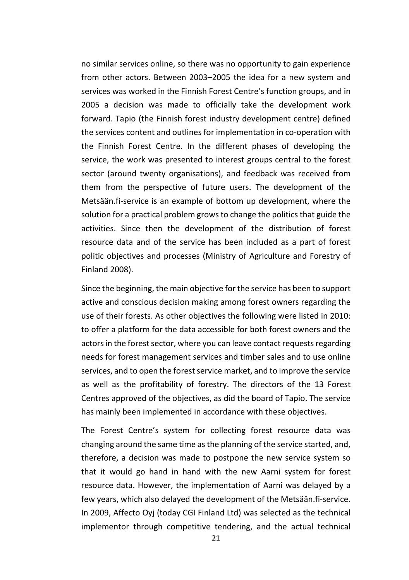no similar services online, so there was no opportunity to gain experience from other actors. Between 2003–2005 the idea for a new system and services was worked in the Finnish Forest Centre's function groups, and in 2005 a decision was made to officially take the development work forward. Tapio (the Finnish forest industry development centre) defined the services content and outlines for implementation in co-operation with the Finnish Forest Centre. In the different phases of developing the service, the work was presented to interest groups central to the forest sector (around twenty organisations), and feedback was received from them from the perspective of future users. The development of the Metsään.fi-service is an example of bottom up development, where the solution for a practical problem grows to change the politics that guide the activities. Since then the development of the distribution of forest resource data and of the service has been included as a part of forest politic objectives and processes (Ministry of Agriculture and Forestry of Finland 2008).

Since the beginning, the main objective for the service has been to support active and conscious decision making among forest owners regarding the use of their forests. As other objectives the following were listed in 2010: to offer a platform for the data accessible for both forest owners and the actors in the forest sector, where you can leave contact requests regarding needs for forest management services and timber sales and to use online services, and to open the forest service market, and to improve the service as well as the profitability of forestry. The directors of the 13 Forest Centres approved of the objectives, as did the board of Tapio. The service has mainly been implemented in accordance with these objectives.

The Forest Centre's system for collecting forest resource data was changing around the same time as the planning of the service started, and, therefore, a decision was made to postpone the new service system so that it would go hand in hand with the new Aarni system for forest resource data. However, the implementation of Aarni was delayed by a few years, which also delayed the development of the Metsään.fi-service. In 2009, Affecto Oyj (today CGI Finland Ltd) was selected as the technical implementor through competitive tendering, and the actual technical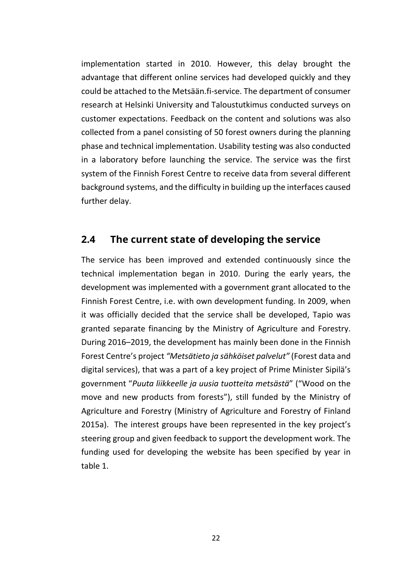implementation started in 2010. However, this delay brought the advantage that different online services had developed quickly and they could be attached to the Metsään.fi-service. The department of consumer research at Helsinki University and Taloustutkimus conducted surveys on customer expectations. Feedback on the content and solutions was also collected from a panel consisting of 50 forest owners during the planning phase and technical implementation. Usability testing was also conducted in a laboratory before launching the service. The service was the first system of the Finnish Forest Centre to receive data from several different background systems, and the difficulty in building up the interfaces caused further delay.

#### <span id="page-22-0"></span>**2.4 The current state of developing the service**

The service has been improved and extended continuously since the technical implementation began in 2010. During the early years, the development was implemented with a government grant allocated to the Finnish Forest Centre, i.e. with own development funding. In 2009, when it was officially decided that the service shall be developed, Tapio was granted separate financing by the Ministry of Agriculture and Forestry. During 2016–2019, the development has mainly been done in the Finnish Forest Centre's project *"Metsätieto ja sähköiset palvelut"* (Forest data and digital services), that was a part of a key project of Prime Minister Sipilä's government "*Puuta liikkeelle ja uusia tuotteita metsästä*" ("Wood on the move and new products from forests"), still funded by the Ministry of Agriculture and Forestry (Ministry of Agriculture and Forestry of Finland 2015a). The interest groups have been represented in the key project's steering group and given feedback to support the development work. The funding used for developing the website has been specified by year in table 1.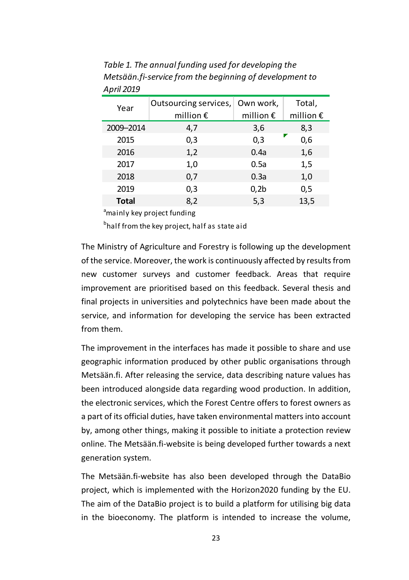| Year      | Outsourcing services, Own work,<br>million $\epsilon$ | million $\epsilon$ | Total,<br>million $\epsilon$ |
|-----------|-------------------------------------------------------|--------------------|------------------------------|
| 2009-2014 | 4,7                                                   | 3,6                | 8,3                          |
| 2015      | 0,3                                                   | 0,3                | 0,6                          |
| 2016      | 1,2                                                   | 0.4a               | 1,6                          |
| 2017      | 1,0                                                   | 0.5a               | 1,5                          |
| 2018      | 0,7                                                   | 0.3a               | 1,0                          |
| 2019      | 0,3                                                   | 0,2b               | 0,5                          |
| Total     | 8,2                                                   | 5,3                | 13,5                         |

*Table 1. The annual funding used for developing the Metsään.fi-service from the beginning of development to April 2019*

<sup>a</sup>mainly key project funding

<sup>b</sup>half from the key project, half as state aid

The Ministry of Agriculture and Forestry is following up the development of the service. Moreover, the work is continuously affected by results from new customer surveys and customer feedback. Areas that require improvement are prioritised based on this feedback. Several thesis and final projects in universities and polytechnics have been made about the service, and information for developing the service has been extracted from them.

The improvement in the interfaces has made it possible to share and use geographic information produced by other public organisations through Metsään.fi. After releasing the service, data describing nature values has been introduced alongside data regarding wood production. In addition, the electronic services, which the Forest Centre offers to forest owners as a part of its official duties, have taken environmental matters into account by, among other things, making it possible to initiate a protection review online. The Metsään.fi-website is being developed further towards a next generation system.

The Metsään.fi-website has also been developed through the DataBio project, which is implemented with the Horizon2020 funding by the EU. The aim of the DataBio project is to build a platform for utilising big data in the bioeconomy. The platform is intended to increase the volume,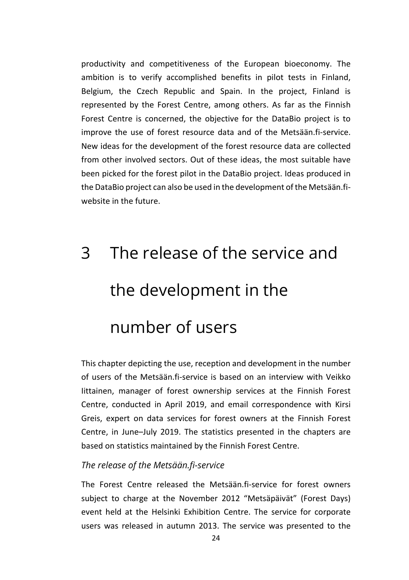productivity and competitiveness of the European bioeconomy. The ambition is to verify accomplished benefits in pilot tests in Finland, Belgium, the Czech Republic and Spain. In the project, Finland is represented by the Forest Centre, among others. As far as the Finnish Forest Centre is concerned, the objective for the DataBio project is to improve the use of forest resource data and of the Metsään.fi-service. New ideas for the development of the forest resource data are collected from other involved sectors. Out of these ideas, the most suitable have been picked for the forest pilot in the DataBio project. Ideas produced in the DataBio project can also be used in the development of the Metsään.fiwebsite in the future.

# <span id="page-24-0"></span>3 The release of the service and the development in the number of users

This chapter depicting the use, reception and development in the number of users of the Metsään.fi-service is based on an interview with Veikko Iittainen, manager of forest ownership services at the Finnish Forest Centre, conducted in April 2019, and email correspondence with Kirsi Greis, expert on data services for forest owners at the Finnish Forest Centre, in June–July 2019. The statistics presented in the chapters are based on statistics maintained by the Finnish Forest Centre.

#### *The release of the Metsään.fi-service*

The Forest Centre released the Metsään.fi-service for forest owners subject to charge at the November 2012 "Metsäpäivät" (Forest Days) event held at the Helsinki Exhibition Centre. The service for corporate users was released in autumn 2013. The service was presented to the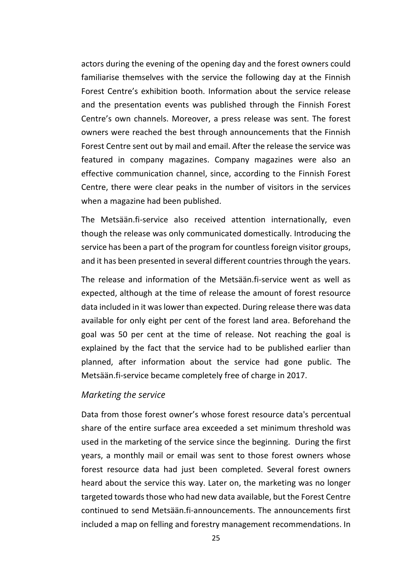actors during the evening of the opening day and the forest owners could familiarise themselves with the service the following day at the Finnish Forest Centre's exhibition booth. Information about the service release and the presentation events was published through the Finnish Forest Centre's own channels. Moreover, a press release was sent. The forest owners were reached the best through announcements that the Finnish Forest Centre sent out by mail and email. After the release the service was featured in company magazines. Company magazines were also an effective communication channel, since, according to the Finnish Forest Centre, there were clear peaks in the number of visitors in the services when a magazine had been published.

The Metsään.fi-service also received attention internationally, even though the release was only communicated domestically. Introducing the service has been a part of the program for countless foreign visitor groups, and it has been presented in several different countries through the years.

The release and information of the Metsään.fi-service went as well as expected, although at the time of release the amount of forest resource data included in it was lower than expected. During release there was data available for only eight per cent of the forest land area. Beforehand the goal was 50 per cent at the time of release. Not reaching the goal is explained by the fact that the service had to be published earlier than planned, after information about the service had gone public. The Metsään.fi-service became completely free of charge in 2017.

#### *Marketing the service*

Data from those forest owner's whose forest resource data's percentual share of the entire surface area exceeded a set minimum threshold was used in the marketing of the service since the beginning. During the first years, a monthly mail or email was sent to those forest owners whose forest resource data had just been completed. Several forest owners heard about the service this way. Later on, the marketing was no longer targeted towards those who had new data available, but the Forest Centre continued to send Metsään.fi-announcements. The announcements first included a map on felling and forestry management recommendations. In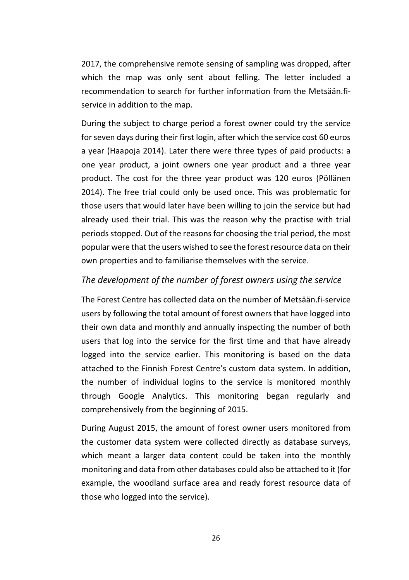2017, the comprehensive remote sensing of sampling was dropped, after which the map was only sent about felling. The letter included a recommendation to search for further information from the Metsään fiservice in addition to the map.

During the subject to charge period a forest owner could try the service for seven days during their first login, after which the service cost 60 euros a year (Haapoja 2014). Later there were three types of paid products: a one year product, a joint owners one year product and a three year product. The cost for the three year product was 120 euros (Pöllänen 2014). The free trial could only be used once. This was problematic for those users that would later have been willing to join the service but had already used their trial. This was the reason why the practise with trial periods stopped. Out of the reasons for choosing the trial period, the most popular were that the users wished to see the forest resource data on their own properties and to familiarise themselves with the service.

#### *The development of the number of forest owners using the service*

The Forest Centre has collected data on the number of Metsään.fi-service users by following the total amount of forest owners that have logged into their own data and monthly and annually inspecting the number of both users that log into the service for the first time and that have already logged into the service earlier. This monitoring is based on the data attached to the Finnish Forest Centre's custom data system. In addition, the number of individual logins to the service is monitored monthly through Google Analytics. This monitoring began regularly and comprehensively from the beginning of 2015.

During August 2015, the amount of forest owner users monitored from the customer data system were collected directly as database surveys, which meant a larger data content could be taken into the monthly monitoring and data from other databases could also be attached to it (for example, the woodland surface area and ready forest resource data of those who logged into the service).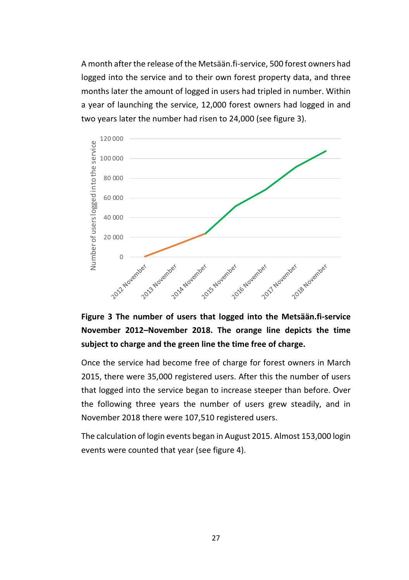A month after the release of the Metsään.fi-service, 500 forest owners had logged into the service and to their own forest property data, and three months later the amount of logged in users had tripled in number. Within a year of launching the service, 12,000 forest owners had logged in and two years later the number had risen to 24,000 (see figure 3).



**Figure 3 The number of users that logged into the Metsään.fi-service November 2012–November 2018. The orange line depicts the time subject to charge and the green line the time free of charge.**

Once the service had become free of charge for forest owners in March 2015, there were 35,000 registered users. After this the number of users that logged into the service began to increase steeper than before. Over the following three years the number of users grew steadily, and in November 2018 there were 107,510 registered users.

The calculation of login events began in August 2015. Almost 153,000 login events were counted that year (see figure 4).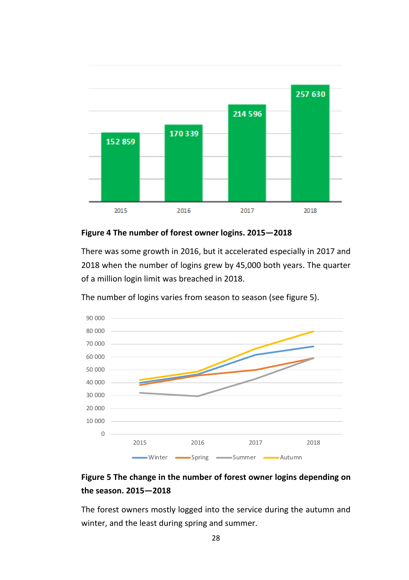

**Figure 4 The number of forest owner logins. 2015—2018**

There was some growth in 2016, but it accelerated especially in 2017 and 2018 when the number of logins grew by 45,000 both years. The quarter of a million login limit was breached in 2018.





#### **Figure 5 The change in the number of forest owner logins depending on the season. 2015—2018**

The forest owners mostly logged into the service during the autumn and winter, and the least during spring and summer.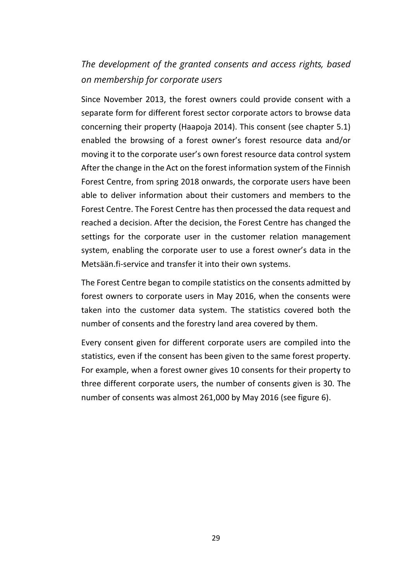### *The development of the granted consents and access rights, based on membership for corporate users*

Since November 2013, the forest owners could provide consent with a separate form for different forest sector corporate actors to browse data concerning their property (Haapoja 2014). This consent (see chapter 5.1) enabled the browsing of a forest owner's forest resource data and/or moving it to the corporate user's own forest resource data control system After the change in the Act on the forest information system of the Finnish Forest Centre, from spring 2018 onwards, the corporate users have been able to deliver information about their customers and members to the Forest Centre. The Forest Centre has then processed the data request and reached a decision. After the decision, the Forest Centre has changed the settings for the corporate user in the customer relation management system, enabling the corporate user to use a forest owner's data in the Metsään.fi-service and transfer it into their own systems.

The Forest Centre began to compile statistics on the consents admitted by forest owners to corporate users in May 2016, when the consents were taken into the customer data system. The statistics covered both the number of consents and the forestry land area covered by them.

Every consent given for different corporate users are compiled into the statistics, even if the consent has been given to the same forest property. For example, when a forest owner gives 10 consents for their property to three different corporate users, the number of consents given is 30. The number of consents was almost 261,000 by May 2016 (see figure 6).

29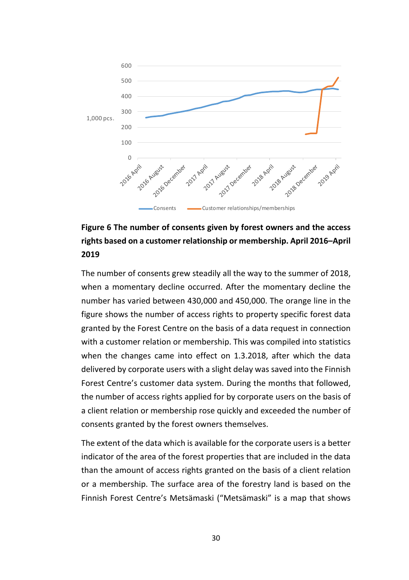

### **Figure 6 The number of consents given by forest owners and the access rights based on a customer relationship or membership. April 2016–April 2019**

The number of consents grew steadily all the way to the summer of 2018, when a momentary decline occurred. After the momentary decline the number has varied between 430,000 and 450,000. The orange line in the figure shows the number of access rights to property specific forest data granted by the Forest Centre on the basis of a data request in connection with a customer relation or membership. This was compiled into statistics when the changes came into effect on 1.3.2018, after which the data delivered by corporate users with a slight delay was saved into the Finnish Forest Centre's customer data system. During the months that followed, the number of access rights applied for by corporate users on the basis of a client relation or membership rose quickly and exceeded the number of consents granted by the forest owners themselves.

The extent of the data which is available for the corporate users is a better indicator of the area of the forest properties that are included in the data than the amount of access rights granted on the basis of a client relation or a membership. The surface area of the forestry land is based on the Finnish Forest Centre's Metsämaski ("Metsämaski" is a map that shows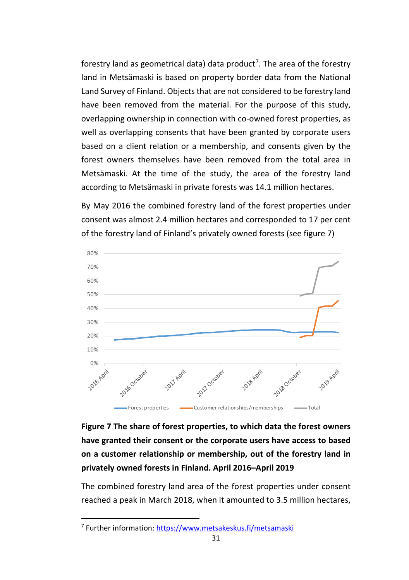forestry land as geometrical data) data product<sup>[7](#page-31-0)</sup>. The area of the forestry land in Metsämaski is based on property border data from the National Land Survey of Finland. Objects that are not considered to be forestry land have been removed from the material. For the purpose of this study, overlapping ownership in connection with co-owned forest properties, as well as overlapping consents that have been granted by corporate users based on a client relation or a membership, and consents given by the forest owners themselves have been removed from the total area in Metsämaski. At the time of the study, the area of the forestry land according to Metsämaski in private forests was 14.1 million hectares.

By May 2016 the combined forestry land of the forest properties under consent was almost 2.4 million hectares and corresponded to 17 per cent of the forestry land of Finland's privately owned forests (see figure 7)



## **Figure 7 The share of forest properties, to which data the forest owners have granted their consent or the corporate users have access to based on a customer relationship or membership, out of the forestry land in privately owned forests in Finland. April 2016–April 2019**

The combined forestry land area of the forest properties under consent reached a peak in March 2018, when it amounted to 3.5 million hectares,

<span id="page-31-0"></span><sup>7</sup> Further information[: https://www.metsakeskus.fi/metsamaski](https://www.metsakeskus.fi/metsamaski)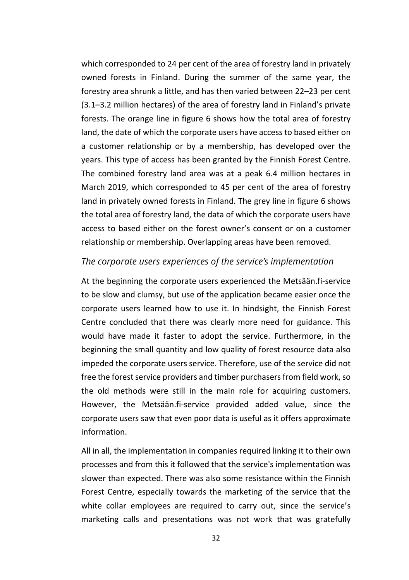which corresponded to 24 per cent of the area of forestry land in privately owned forests in Finland. During the summer of the same year, the forestry area shrunk a little, and has then varied between 22–23 per cent (3.1–3.2 million hectares) of the area of forestry land in Finland's private forests. The orange line in figure 6 shows how the total area of forestry land, the date of which the corporate users have access to based either on a customer relationship or by a membership, has developed over the years. This type of access has been granted by the Finnish Forest Centre. The combined forestry land area was at a peak 6.4 million hectares in March 2019, which corresponded to 45 per cent of the area of forestry land in privately owned forests in Finland. The grey line in figure 6 shows the total area of forestry land, the data of which the corporate users have access to based either on the forest owner's consent or on a customer relationship or membership. Overlapping areas have been removed.

#### *The corporate users experiences of the service's implementation*

At the beginning the corporate users experienced the Metsään.fi-service to be slow and clumsy, but use of the application became easier once the corporate users learned how to use it. In hindsight, the Finnish Forest Centre concluded that there was clearly more need for guidance. This would have made it faster to adopt the service. Furthermore, in the beginning the small quantity and low quality of forest resource data also impeded the corporate users service. Therefore, use of the service did not free the forest service providers and timber purchasers from field work, so the old methods were still in the main role for acquiring customers. However, the Metsään.fi-service provided added value, since the corporate users saw that even poor data is useful as it offers approximate information.

All in all, the implementation in companies required linking it to their own processes and from this it followed that the service's implementation was slower than expected. There was also some resistance within the Finnish Forest Centre, especially towards the marketing of the service that the white collar employees are required to carry out, since the service's marketing calls and presentations was not work that was gratefully

32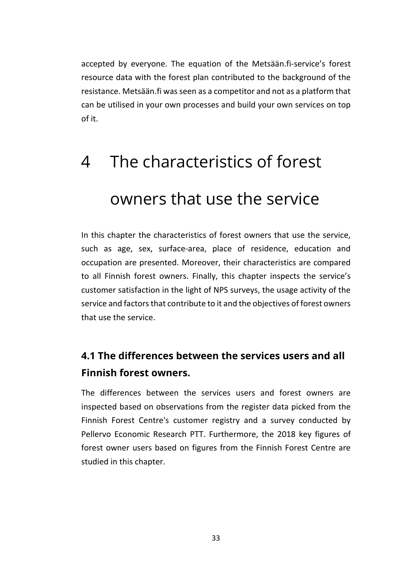accepted by everyone. The equation of the Metsään.fi-service's forest resource data with the forest plan contributed to the background of the resistance. Metsään.fi was seen as a competitor and not as a platform that can be utilised in your own processes and build your own services on top of it.

# <span id="page-33-0"></span>4 The characteristics of forest owners that use the service

In this chapter the characteristics of forest owners that use the service, such as age, sex, surface-area, place of residence, education and occupation are presented. Moreover, their characteristics are compared to all Finnish forest owners. Finally, this chapter inspects the service's customer satisfaction in the light of NPS surveys, the usage activity of the service and factors that contribute to it and the objectives of forest owners that use the service.

# <span id="page-33-1"></span>**4.1 The differences between the services users and all Finnish forest owners.**

The differences between the services users and forest owners are inspected based on observations from the register data picked from the Finnish Forest Centre's customer registry and a survey conducted by Pellervo Economic Research PTT. Furthermore, the 2018 key figures of forest owner users based on figures from the Finnish Forest Centre are studied in this chapter.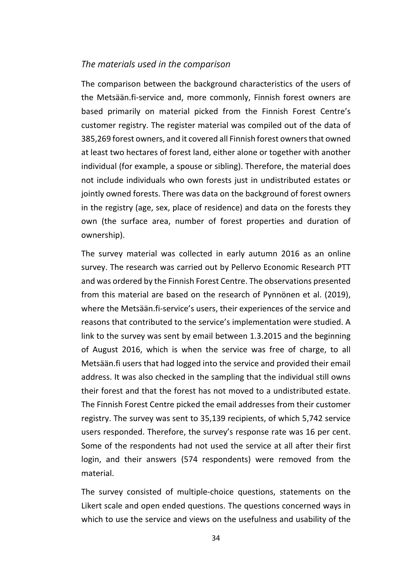#### *The materials used in the comparison*

The comparison between the background characteristics of the users of the Metsään.fi-service and, more commonly, Finnish forest owners are based primarily on material picked from the Finnish Forest Centre's customer registry. The register material was compiled out of the data of 385,269 forest owners, and it covered all Finnish forest owners that owned at least two hectares of forest land, either alone or together with another individual (for example, a spouse or sibling). Therefore, the material does not include individuals who own forests just in undistributed estates or jointly owned forests. There was data on the background of forest owners in the registry (age, sex, place of residence) and data on the forests they own (the surface area, number of forest properties and duration of ownership).

The survey material was collected in early autumn 2016 as an online survey. The research was carried out by Pellervo Economic Research PTT and was ordered by the Finnish Forest Centre. The observations presented from this material are based on the research of Pynnönen et al. (2019), where the Metsään.fi-service's users, their experiences of the service and reasons that contributed to the service's implementation were studied. A link to the survey was sent by email between 1.3.2015 and the beginning of August 2016, which is when the service was free of charge, to all Metsään.fi users that had logged into the service and provided their email address. It was also checked in the sampling that the individual still owns their forest and that the forest has not moved to a undistributed estate. The Finnish Forest Centre picked the email addresses from their customer registry. The survey was sent to 35,139 recipients, of which 5,742 service users responded. Therefore, the survey's response rate was 16 per cent. Some of the respondents had not used the service at all after their first login, and their answers (574 respondents) were removed from the material.

The survey consisted of multiple-choice questions, statements on the Likert scale and open ended questions. The questions concerned ways in which to use the service and views on the usefulness and usability of the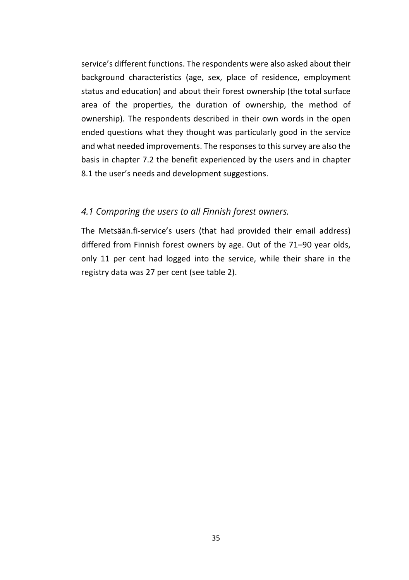service's different functions. The respondents were also asked about their background characteristics (age, sex, place of residence, employment status and education) and about their forest ownership (the total surface area of the properties, the duration of ownership, the method of ownership). The respondents described in their own words in the open ended questions what they thought was particularly good in the service and what needed improvements. The responses to this survey are also the basis in chapter 7.2 the benefit experienced by the users and in chapter 8.1 the user's needs and development suggestions.

#### *4.1 Comparing the users to all Finnish forest owners.*

The Metsään.fi-service's users (that had provided their email address) differed from Finnish forest owners by age. Out of the 71–90 year olds, only 11 per cent had logged into the service, while their share in the registry data was 27 per cent (see table 2).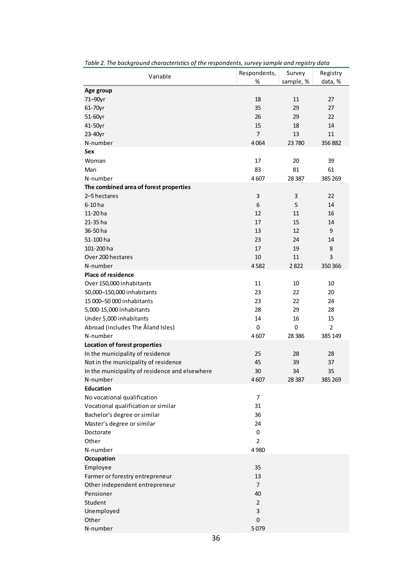| Variable                                                     | Respondents,   | Survey    | Registry |
|--------------------------------------------------------------|----------------|-----------|----------|
|                                                              | %              | sample, % | data, %  |
| Age group                                                    |                |           |          |
| 71–90yr                                                      | 18             | 11        | 27       |
| 61-70yr                                                      | 35             | 29        | 27       |
| 51-60yr                                                      | 26             | 29        | 22       |
| 41-50yr                                                      | 15             | 18        | 14       |
| 23-40yr                                                      | $\overline{7}$ | 13        | 11       |
| N-number                                                     | 4064           | 23780     | 356882   |
| Sex                                                          |                |           |          |
| Woman                                                        | 17             | 20        | 39       |
| Man                                                          | 83             | 81        | 61       |
| N-number                                                     | 4607           | 28 3 87   | 385 269  |
| The combined area of forest properties                       |                |           |          |
| 2-5 hectares                                                 | 3              | 3         | 22       |
| 6-10 ha                                                      | 6              | 5         | 14       |
| 11-20 ha                                                     | 12             | 11        | 16       |
| 21-35 ha                                                     | 17             | 15        | 14       |
| 36-50 ha                                                     | 13             | 12        | 9        |
| 51-100 ha                                                    | 23             | 24        | 14       |
| 101-200 ha                                                   | 17             | 19        | 8        |
| Over 200 hectares                                            | 10             | 11        | 3        |
| N-number                                                     | 4582           | 2822      | 350 366  |
| Place of residence                                           |                |           |          |
| Over 150,000 inhabitants                                     | 11             | 10        | 10       |
| 50,000-150,000 inhabitants                                   | 23             | 22        | 20       |
| 15 000-50 000 inhabitants                                    | 23             | 22        | 24       |
| 5,000-15,000 inhabitants                                     | 28             | 29        | 28       |
|                                                              | 14             | 16        | 15       |
| Under 5,000 inhabitants<br>Abroad (includes The Åland Isles) | 0              | 0         | 2        |
| N-number                                                     | 4607           | 28 3 86   | 385 149  |
| Location of forest properties                                |                |           |          |
|                                                              | 25             | 28        | 28       |
| In the municipality of residence                             | 45             | 39        | 37       |
| Not in the municipality of residence                         |                |           | 35       |
| In the municipality of residence and elsewhere<br>N-number   | 30<br>4607     | 34        | 385 269  |
| <b>Education</b>                                             |                | 28 3 87   |          |
|                                                              | $\overline{7}$ |           |          |
| No vocational qualification                                  | 31             |           |          |
| Vocational qualification or similar                          |                |           |          |
| Bachelor's degree or similar                                 | 36             |           |          |
| Master's degree or similar                                   | 24             |           |          |
| Doctorate                                                    | 0              |           |          |
| Other                                                        | 2              |           |          |
| N-number                                                     | 4980           |           |          |
| Occupation                                                   |                |           |          |
| Employee                                                     | 35             |           |          |
| Farmer or forestry entrepreneur                              | 13             |           |          |
| Other independent entrepreneur                               | $\overline{7}$ |           |          |
| Pensioner                                                    | 40             |           |          |
| Student                                                      | 2              |           |          |
| Unemployed                                                   | 3              |           |          |
| Other                                                        | 0              |           |          |
| N-number                                                     | 5079           |           |          |

*Table 2. The background characteristics of the respondents, survey sample and registry data*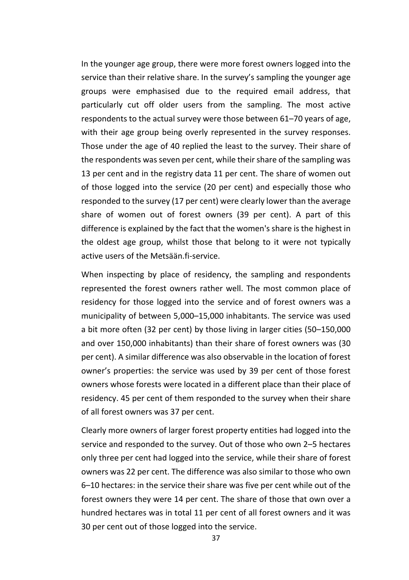In the younger age group, there were more forest owners logged into the service than their relative share. In the survey's sampling the younger age groups were emphasised due to the required email address, that particularly cut off older users from the sampling. The most active respondents to the actual survey were those between 61–70 years of age, with their age group being overly represented in the survey responses. Those under the age of 40 replied the least to the survey. Their share of the respondents was seven per cent, while their share of the sampling was 13 per cent and in the registry data 11 per cent. The share of women out of those logged into the service (20 per cent) and especially those who responded to the survey (17 per cent) were clearly lower than the average share of women out of forest owners (39 per cent). A part of this difference is explained by the fact that the women's share is the highest in the oldest age group, whilst those that belong to it were not typically active users of the Metsään.fi-service.

When inspecting by place of residency, the sampling and respondents represented the forest owners rather well. The most common place of residency for those logged into the service and of forest owners was a municipality of between 5,000–15,000 inhabitants. The service was used a bit more often (32 per cent) by those living in larger cities (50–150,000 and over 150,000 inhabitants) than their share of forest owners was (30 per cent). A similar difference was also observable in the location of forest owner's properties: the service was used by 39 per cent of those forest owners whose forests were located in a different place than their place of residency. 45 per cent of them responded to the survey when their share of all forest owners was 37 per cent.

Clearly more owners of larger forest property entities had logged into the service and responded to the survey. Out of those who own 2–5 hectares only three per cent had logged into the service, while their share of forest owners was 22 per cent. The difference was also similar to those who own 6–10 hectares: in the service their share was five per cent while out of the forest owners they were 14 per cent. The share of those that own over a hundred hectares was in total 11 per cent of all forest owners and it was 30 per cent out of those logged into the service.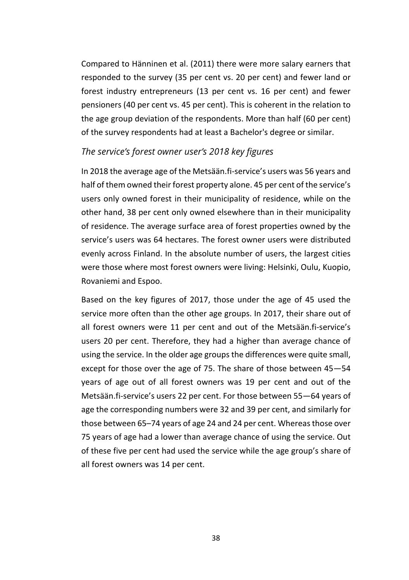Compared to Hänninen et al. (2011) there were more salary earners that responded to the survey (35 per cent vs. 20 per cent) and fewer land or forest industry entrepreneurs (13 per cent vs. 16 per cent) and fewer pensioners (40 per cent vs. 45 per cent). This is coherent in the relation to the age group deviation of the respondents. More than half (60 per cent) of the survey respondents had at least a Bachelor's degree or similar.

#### *The service's forest owner user's 2018 key figures*

In 2018 the average age of the Metsään.fi-service's users was 56 years and half of them owned their forest property alone. 45 per cent of the service's users only owned forest in their municipality of residence, while on the other hand, 38 per cent only owned elsewhere than in their municipality of residence. The average surface area of forest properties owned by the service's users was 64 hectares. The forest owner users were distributed evenly across Finland. In the absolute number of users, the largest cities were those where most forest owners were living: Helsinki, Oulu, Kuopio, Rovaniemi and Espoo.

Based on the key figures of 2017, those under the age of 45 used the service more often than the other age groups. In 2017, their share out of all forest owners were 11 per cent and out of the Metsään.fi-service's users 20 per cent. Therefore, they had a higher than average chance of using the service. In the older age groups the differences were quite small, except for those over the age of 75. The share of those between 45—54 years of age out of all forest owners was 19 per cent and out of the Metsään.fi-service's users 22 per cent. For those between 55—64 years of age the corresponding numbers were 32 and 39 per cent, and similarly for those between 65–74 years of age 24 and 24 per cent. Whereas those over 75 years of age had a lower than average chance of using the service. Out of these five per cent had used the service while the age group's share of all forest owners was 14 per cent.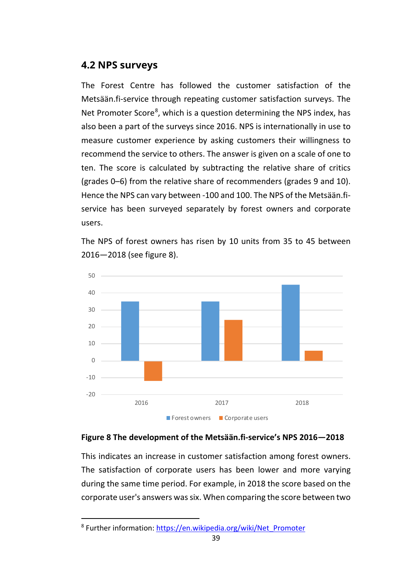# **4.2 NPS surveys**

The Forest Centre has followed the customer satisfaction of the Metsään.fi-service through repeating customer satisfaction surveys. The Net Promoter Score<sup>[8](#page-39-0)</sup>, which is a question determining the NPS index, has also been a part of the surveys since 2016. NPS is internationally in use to measure customer experience by asking customers their willingness to recommend the service to others. The answer is given on a scale of one to ten. The score is calculated by subtracting the relative share of critics (grades 0–6) from the relative share of recommenders (grades 9 and 10). Hence the NPS can vary between -100 and 100. The NPS of the Metsään.fiservice has been surveyed separately by forest owners and corporate users.

The NPS of forest owners has risen by 10 units from 35 to 45 between 2016—2018 (see figure 8).



## **Figure 8 The development of the Metsään.fi-service's NPS 2016—2018**

This indicates an increase in customer satisfaction among forest owners. The satisfaction of corporate users has been lower and more varying during the same time period. For example, in 2018 the score based on the corporate user's answers was six. When comparing the score between two

<span id="page-39-0"></span><sup>8</sup> Further information[: https://en.wikipedia.org/wiki/Net\\_Promoter](https://en.wikipedia.org/wiki/Net_Promoter)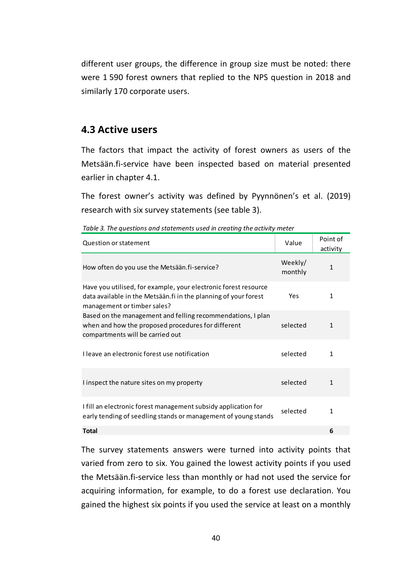different user groups, the difference in group size must be noted: there were 1 590 forest owners that replied to the NPS question in 2018 and similarly 170 corporate users.

# **4.3 Active users**

The factors that impact the activity of forest owners as users of the Metsään.fi-service have been inspected based on material presented earlier in chapter 4.1.

The forest owner's activity was defined by Pyynnönen's et al. (2019) research with six survey statements (see table 3).

| Question or statement                                                                                                                                             | Value              | Point of<br>activity |
|-------------------------------------------------------------------------------------------------------------------------------------------------------------------|--------------------|----------------------|
| How often do you use the Metsään.fi-service?                                                                                                                      | Weekly/<br>monthly | $\mathbf{1}$         |
| Have you utilised, for example, your electronic forest resource<br>data available in the Metsään fi in the planning of your forest<br>management or timber sales? | Yes                | 1                    |
| Based on the management and felling recommendations, I plan<br>when and how the proposed procedures for different<br>compartments will be carried out             | selected           | 1                    |
| I leave an electronic forest use notification                                                                                                                     | selected           | 1                    |
| I inspect the nature sites on my property                                                                                                                         | selected           | 1                    |
| I fill an electronic forest management subsidy application for<br>early tending of seedling stands or management of young stands                                  | selected           | 1                    |
| Total                                                                                                                                                             |                    | 6                    |

*Table 3. The questions and statements used in creating the activity meter*

The survey statements answers were turned into activity points that varied from zero to six. You gained the lowest activity points if you used the Metsään.fi-service less than monthly or had not used the service for acquiring information, for example, to do a forest use declaration. You gained the highest six points if you used the service at least on a monthly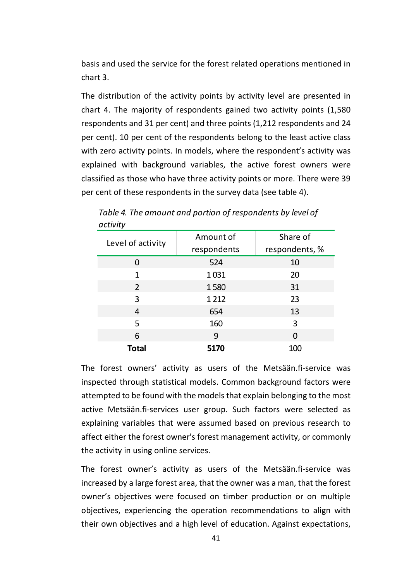basis and used the service for the forest related operations mentioned in chart 3.

The distribution of the activity points by activity level are presented in chart 4. The majority of respondents gained two activity points (1,580 respondents and 31 per cent) and three points (1,212 respondents and 24 per cent). 10 per cent of the respondents belong to the least active class with zero activity points. In models, where the respondent's activity was explained with background variables, the active forest owners were classified as those who have three activity points or more. There were 39 per cent of these respondents in the survey data (see table 4).

| Level of activity | Amount of<br>respondents | Share of<br>respondents, % |
|-------------------|--------------------------|----------------------------|
| $\mathcal{L}$     | 524                      | 10                         |
| 1                 | 1031                     | 20                         |
| 2                 | 1580                     | 31                         |
| 3                 | 1 2 1 2                  | 23                         |
| 4                 | 654                      | 13                         |
| 5                 | 160                      | 3                          |
| 6                 | 9                        | 0                          |
| Total             | 5170                     | 100                        |

*Table 4. The amount and portion of respondents by level of activity*

The forest owners' activity as users of the Metsään.fi-service was inspected through statistical models. Common background factors were attempted to be found with the models that explain belonging to the most active Metsään.fi-services user group. Such factors were selected as explaining variables that were assumed based on previous research to affect either the forest owner's forest management activity, or commonly the activity in using online services.

The forest owner's activity as users of the Metsään.fi-service was increased by a large forest area, that the owner was a man, that the forest owner's objectives were focused on timber production or on multiple objectives, experiencing the operation recommendations to align with their own objectives and a high level of education. Against expectations,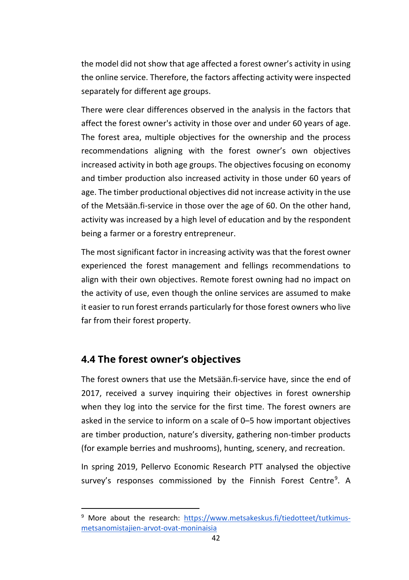the model did not show that age affected a forest owner's activity in using the online service. Therefore, the factors affecting activity were inspected separately for different age groups.

There were clear differences observed in the analysis in the factors that affect the forest owner's activity in those over and under 60 years of age. The forest area, multiple objectives for the ownership and the process recommendations aligning with the forest owner's own objectives increased activity in both age groups. The objectives focusing on economy and timber production also increased activity in those under 60 years of age. The timber productional objectives did not increase activity in the use of the Metsään.fi-service in those over the age of 60. On the other hand, activity was increased by a high level of education and by the respondent being a farmer or a forestry entrepreneur.

The most significant factor in increasing activity was that the forest owner experienced the forest management and fellings recommendations to align with their own objectives. Remote forest owning had no impact on the activity of use, even though the online services are assumed to make it easier to run forest errands particularly for those forest owners who live far from their forest property.

# **4.4 The forest owner's objectives**

The forest owners that use the Metsään.fi-service have, since the end of 2017, received a survey inquiring their objectives in forest ownership when they log into the service for the first time. The forest owners are asked in the service to inform on a scale of 0–5 how important objectives are timber production, nature's diversity, gathering non-timber products (for example berries and mushrooms), hunting, scenery, and recreation.

In spring 2019, Pellervo Economic Research PTT analysed the objective survey's responses commissioned by the Finnish Forest Centre<sup>[9](#page-42-0)</sup>. A

<span id="page-42-0"></span><sup>&</sup>lt;sup>9</sup> More about the research: [https://www.metsakeskus.fi/tiedotteet/tutkimus](https://www.metsakeskus.fi/tiedotteet/tutkimus-metsanomistajien-arvot-ovat-moninaisia)[metsanomistajien-arvot-ovat-moninaisia](https://www.metsakeskus.fi/tiedotteet/tutkimus-metsanomistajien-arvot-ovat-moninaisia)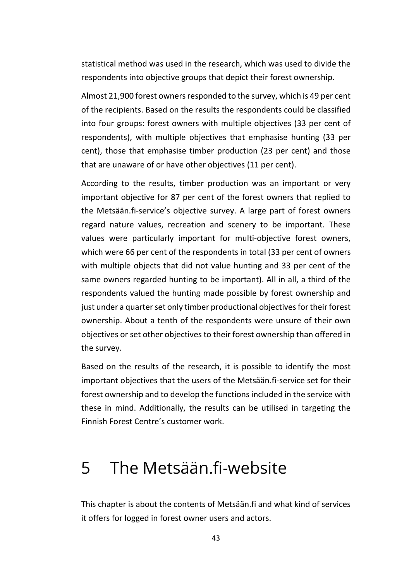statistical method was used in the research, which was used to divide the respondents into objective groups that depict their forest ownership.

Almost 21,900 forest owners responded to the survey, which is 49 per cent of the recipients. Based on the results the respondents could be classified into four groups: forest owners with multiple objectives (33 per cent of respondents), with multiple objectives that emphasise hunting (33 per cent), those that emphasise timber production (23 per cent) and those that are unaware of or have other objectives (11 per cent).

According to the results, timber production was an important or very important objective for 87 per cent of the forest owners that replied to the Metsään.fi-service's objective survey. A large part of forest owners regard nature values, recreation and scenery to be important. These values were particularly important for multi-objective forest owners, which were 66 per cent of the respondents in total (33 per cent of owners with multiple objects that did not value hunting and 33 per cent of the same owners regarded hunting to be important). All in all, a third of the respondents valued the hunting made possible by forest ownership and just under a quarter set only timber productional objectives for their forest ownership. About a tenth of the respondents were unsure of their own objectives or set other objectives to their forest ownership than offered in the survey.

Based on the results of the research, it is possible to identify the most important objectives that the users of the Metsään.fi-service set for their forest ownership and to develop the functions included in the service with these in mind. Additionally, the results can be utilised in targeting the Finnish Forest Centre's customer work.

# 5 The Metsään.fi-website

This chapter is about the contents of Metsään.fi and what kind of services it offers for logged in forest owner users and actors.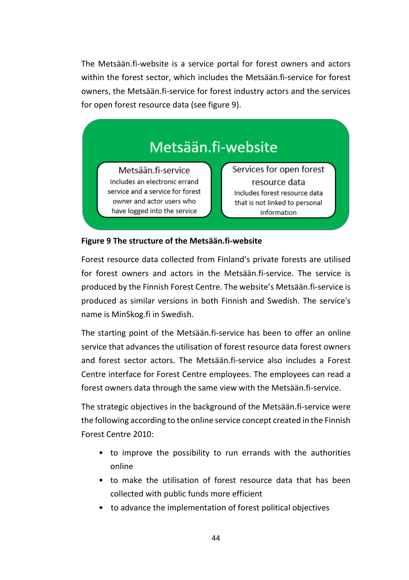The Metsään.fi-website is a service portal for forest owners and actors within the forest sector, which includes the Metsään.fi-service for forest owners, the Metsään.fi-service for forest industry actors and the services for open forest resource data (see figure 9).

# Metsään.fi-website

Metsään.fi-service Includes an electronic errand service and a service for forest owner and actor users who have logged into the service

Services for open forest resource data Includes forest resource data that is not linked to personal information

#### **Figure 9 The structure of the Metsään.fi-website**

Forest resource data collected from Finland's private forests are utilised for forest owners and actors in the Metsään.fi-service. The service is produced by the Finnish Forest Centre. The website's Metsään.fi-service is produced as similar versions in both Finnish and Swedish. The service's name is MinSkog.fi in Swedish.

The starting point of the Metsään.fi-service has been to offer an online service that advances the utilisation of forest resource data forest owners and forest sector actors. The Metsään.fi-service also includes a Forest Centre interface for Forest Centre employees. The employees can read a forest owners data through the same view with the Metsään.fi-service.

The strategic objectives in the background of the Metsään.fi-service were the following according to the online service concept created in the Finnish Forest Centre 2010:

- to improve the possibility to run errands with the authorities online
- to make the utilisation of forest resource data that has been collected with public funds more efficient
- to advance the implementation of forest political objectives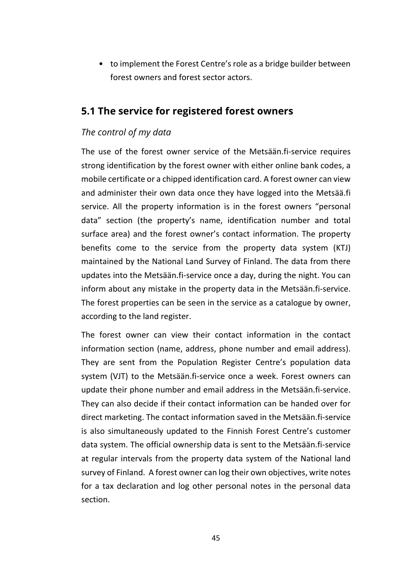• to implement the Forest Centre's role as a bridge builder between forest owners and forest sector actors.

# **5.1 The service for registered forest owners**

# *The control of my data*

The use of the forest owner service of the Metsään.fi-service requires strong identification by the forest owner with either online bank codes, a mobile certificate or a chipped identification card. A forest owner can view and administer their own data once they have logged into the Metsää.fi service. All the property information is in the forest owners "personal data" section (the property's name, identification number and total surface area) and the forest owner's contact information. The property benefits come to the service from the property data system (KTJ) maintained by the National Land Survey of Finland. The data from there updates into the Metsään.fi-service once a day, during the night. You can inform about any mistake in the property data in the Metsään.fi-service. The forest properties can be seen in the service as a catalogue by owner, according to the land register.

The forest owner can view their contact information in the contact information section (name, address, phone number and email address). They are sent from the Population Register Centre's population data system (VJT) to the Metsään.fi-service once a week. Forest owners can update their phone number and email address in the Metsään.fi-service. They can also decide if their contact information can be handed over for direct marketing. The contact information saved in the Metsään.fi-service is also simultaneously updated to the Finnish Forest Centre's customer data system. The official ownership data is sent to the Metsään.fi-service at regular intervals from the property data system of the National land survey of Finland. A forest owner can log their own objectives, write notes for a tax declaration and log other personal notes in the personal data section.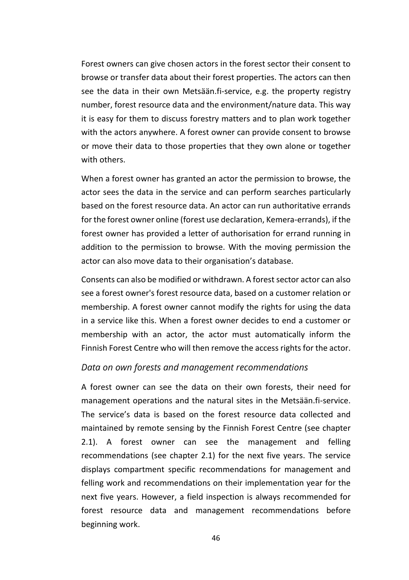Forest owners can give chosen actors in the forest sector their consent to browse or transfer data about their forest properties. The actors can then see the data in their own Metsään.fi-service, e.g. the property registry number, forest resource data and the environment/nature data. This way it is easy for them to discuss forestry matters and to plan work together with the actors anywhere. A forest owner can provide consent to browse or move their data to those properties that they own alone or together with others.

When a forest owner has granted an actor the permission to browse, the actor sees the data in the service and can perform searches particularly based on the forest resource data. An actor can run authoritative errands for the forest owner online (forest use declaration, Kemera-errands), if the forest owner has provided a letter of authorisation for errand running in addition to the permission to browse. With the moving permission the actor can also move data to their organisation's database.

Consents can also be modified or withdrawn. A forest sector actor can also see a forest owner's forest resource data, based on a customer relation or membership. A forest owner cannot modify the rights for using the data in a service like this. When a forest owner decides to end a customer or membership with an actor, the actor must automatically inform the Finnish Forest Centre who will then remove the access rights for the actor.

#### *Data on own forests and management recommendations*

A forest owner can see the data on their own forests, their need for management operations and the natural sites in the Metsään.fi-service. The service's data is based on the forest resource data collected and maintained by remote sensing by the Finnish Forest Centre (see chapter 2.1). A forest owner can see the management and felling recommendations (see chapter 2.1) for the next five years. The service displays compartment specific recommendations for management and felling work and recommendations on their implementation year for the next five years. However, a field inspection is always recommended for forest resource data and management recommendations before beginning work.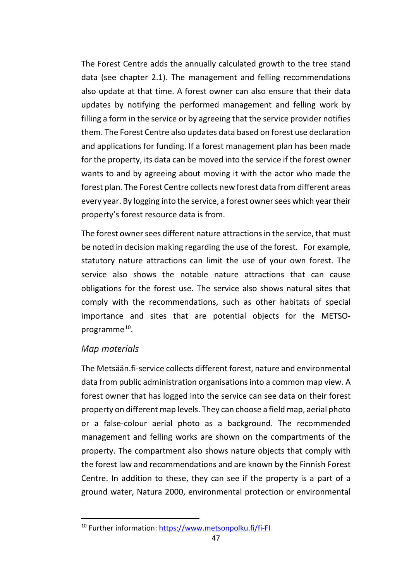The Forest Centre adds the annually calculated growth to the tree stand data (see chapter 2.1). The management and felling recommendations also update at that time. A forest owner can also ensure that their data updates by notifying the performed management and felling work by filling a form in the service or by agreeing that the service provider notifies them. The Forest Centre also updates data based on forest use declaration and applications for funding. If a forest management plan has been made for the property, its data can be moved into the service if the forest owner wants to and by agreeing about moving it with the actor who made the forest plan. The Forest Centre collects new forest data from different areas every year. By logging into the service, a forest owner sees which year their property's forest resource data is from.

The forest owner sees different nature attractions in the service, that must be noted in decision making regarding the use of the forest. For example, statutory nature attractions can limit the use of your own forest. The service also shows the notable nature attractions that can cause obligations for the forest use. The service also shows natural sites that comply with the recommendations, such as other habitats of special importance and sites that are potential objects for the METSOprogramme $^{10}$ .

#### *Map materials*

The Metsään.fi-service collects different forest, nature and environmental data from public administration organisations into a common map view. A forest owner that has logged into the service can see data on their forest property on different map levels. They can choose a field map, aerial photo or a false-colour aerial photo as a background. The recommended management and felling works are shown on the compartments of the property. The compartment also shows nature objects that comply with the forest law and recommendations and are known by the Finnish Forest Centre. In addition to these, they can see if the property is a part of a ground water, Natura 2000, environmental protection or environmental

<span id="page-47-0"></span><sup>10</sup> Further information:<https://www.metsonpolku.fi/fi-FI>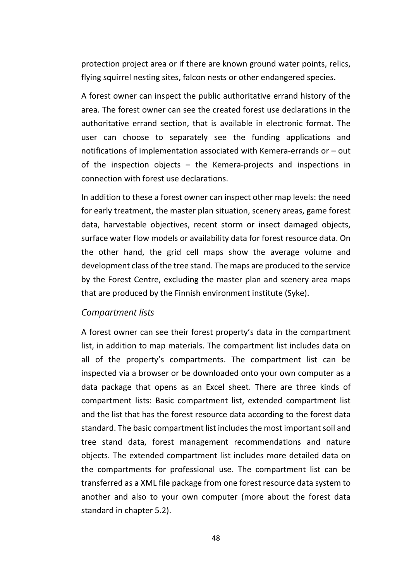protection project area or if there are known ground water points, relics, flying squirrel nesting sites, falcon nests or other endangered species.

A forest owner can inspect the public authoritative errand history of the area. The forest owner can see the created forest use declarations in the authoritative errand section, that is available in electronic format. The user can choose to separately see the funding applications and notifications of implementation associated with Kemera-errands or – out of the inspection objects – the Kemera-projects and inspections in connection with forest use declarations.

In addition to these a forest owner can inspect other map levels: the need for early treatment, the master plan situation, scenery areas, game forest data, harvestable objectives, recent storm or insect damaged objects, surface water flow models or availability data for forest resource data. On the other hand, the grid cell maps show the average volume and development class of the tree stand. The maps are produced to the service by the Forest Centre, excluding the master plan and scenery area maps that are produced by the Finnish environment institute (Syke).

#### *Compartment lists*

A forest owner can see their forest property's data in the compartment list, in addition to map materials. The compartment list includes data on all of the property's compartments. The compartment list can be inspected via a browser or be downloaded onto your own computer as a data package that opens as an Excel sheet. There are three kinds of compartment lists: Basic compartment list, extended compartment list and the list that has the forest resource data according to the forest data standard. The basic compartment list includes the most important soil and tree stand data, forest management recommendations and nature objects. The extended compartment list includes more detailed data on the compartments for professional use. The compartment list can be transferred as a XML file package from one forest resource data system to another and also to your own computer (more about the forest data standard in chapter 5.2).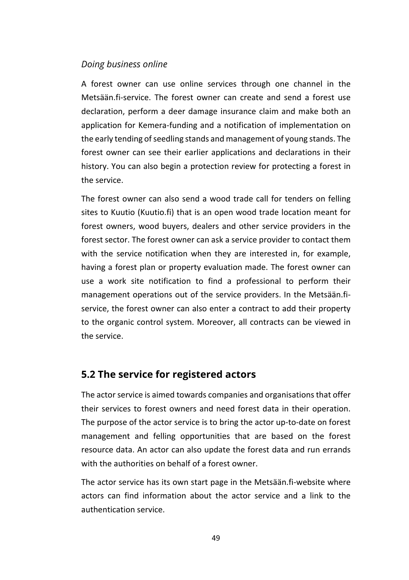#### *Doing business online*

A forest owner can use online services through one channel in the Metsään.fi-service. The forest owner can create and send a forest use declaration, perform a deer damage insurance claim and make both an application for Kemera-funding and a notification of implementation on the early tending of seedling stands and management of young stands. The forest owner can see their earlier applications and declarations in their history. You can also begin a protection review for protecting a forest in the service.

The forest owner can also send a wood trade call for tenders on felling sites to Kuutio (Kuutio.fi) that is an open wood trade location meant for forest owners, wood buyers, dealers and other service providers in the forest sector. The forest owner can ask a service provider to contact them with the service notification when they are interested in, for example, having a forest plan or property evaluation made. The forest owner can use a work site notification to find a professional to perform their management operations out of the service providers. In the Metsään.fiservice, the forest owner can also enter a contract to add their property to the organic control system. Moreover, all contracts can be viewed in the service.

# **5.2 The service for registered actors**

The actor service is aimed towards companies and organisations that offer their services to forest owners and need forest data in their operation. The purpose of the actor service is to bring the actor up-to-date on forest management and felling opportunities that are based on the forest resource data. An actor can also update the forest data and run errands with the authorities on behalf of a forest owner.

The actor service has its own start page in the Metsään.fi-website where actors can find information about the actor service and a link to the authentication service.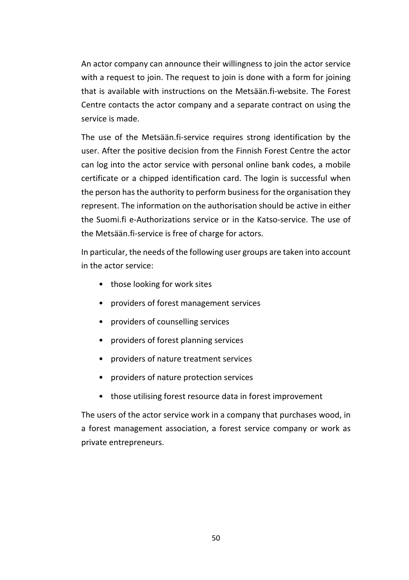An actor company can announce their willingness to join the actor service with a request to join. The request to join is done with a form for joining that is available with instructions on the Metsään fi-website. The Forest Centre contacts the actor company and a separate contract on using the service is made.

The use of the Metsään.fi-service requires strong identification by the user. After the positive decision from the Finnish Forest Centre the actor can log into the actor service with personal online bank codes, a mobile certificate or a chipped identification card. The login is successful when the person has the authority to perform business for the organisation they represent. The information on the authorisation should be active in either the Suomi.fi e-Authorizations service or in the Katso-service. The use of the Metsään.fi-service is free of charge for actors.

In particular, the needs of the following user groups are taken into account in the actor service:

- those looking for work sites
- providers of forest management services
- providers of counselling services
- providers of forest planning services
- providers of nature treatment services
- providers of nature protection services
- those utilising forest resource data in forest improvement

The users of the actor service work in a company that purchases wood, in a forest management association, a forest service company or work as private entrepreneurs.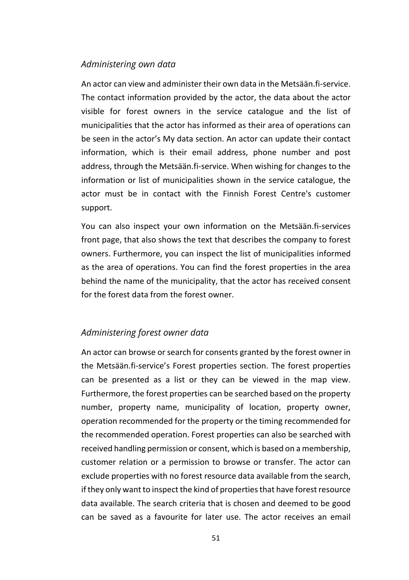#### *Administering own data*

An actor can view and administer their own data in the Metsään.fi-service. The contact information provided by the actor, the data about the actor visible for forest owners in the service catalogue and the list of municipalities that the actor has informed as their area of operations can be seen in the actor's My data section. An actor can update their contact information, which is their email address, phone number and post address, through the Metsään.fi-service. When wishing for changes to the information or list of municipalities shown in the service catalogue, the actor must be in contact with the Finnish Forest Centre's customer support.

You can also inspect your own information on the Metsään.fi-services front page, that also shows the text that describes the company to forest owners. Furthermore, you can inspect the list of municipalities informed as the area of operations. You can find the forest properties in the area behind the name of the municipality, that the actor has received consent for the forest data from the forest owner.

## *Administering forest owner data*

An actor can browse or search for consents granted by the forest owner in the Metsään.fi-service's Forest properties section. The forest properties can be presented as a list or they can be viewed in the map view. Furthermore, the forest properties can be searched based on the property number, property name, municipality of location, property owner, operation recommended for the property or the timing recommended for the recommended operation. Forest properties can also be searched with received handling permission or consent, which is based on a membership, customer relation or a permission to browse or transfer. The actor can exclude properties with no forest resource data available from the search, if they only want to inspect the kind of properties that have forest resource data available. The search criteria that is chosen and deemed to be good can be saved as a favourite for later use. The actor receives an email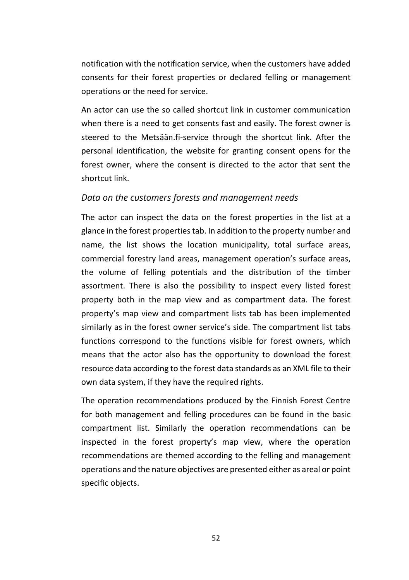notification with the notification service, when the customers have added consents for their forest properties or declared felling or management operations or the need for service.

An actor can use the so called shortcut link in customer communication when there is a need to get consents fast and easily. The forest owner is steered to the Metsään.fi-service through the shortcut link. After the personal identification, the website for granting consent opens for the forest owner, where the consent is directed to the actor that sent the shortcut link.

#### *Data on the customers forests and management needs*

The actor can inspect the data on the forest properties in the list at a glance in the forest properties tab. In addition to the property number and name, the list shows the location municipality, total surface areas, commercial forestry land areas, management operation's surface areas, the volume of felling potentials and the distribution of the timber assortment. There is also the possibility to inspect every listed forest property both in the map view and as compartment data. The forest property's map view and compartment lists tab has been implemented similarly as in the forest owner service's side. The compartment list tabs functions correspond to the functions visible for forest owners, which means that the actor also has the opportunity to download the forest resource data according to the forest data standards as an XML file to their own data system, if they have the required rights.

The operation recommendations produced by the Finnish Forest Centre for both management and felling procedures can be found in the basic compartment list. Similarly the operation recommendations can be inspected in the forest property's map view, where the operation recommendations are themed according to the felling and management operations and the nature objectives are presented either as areal or point specific objects.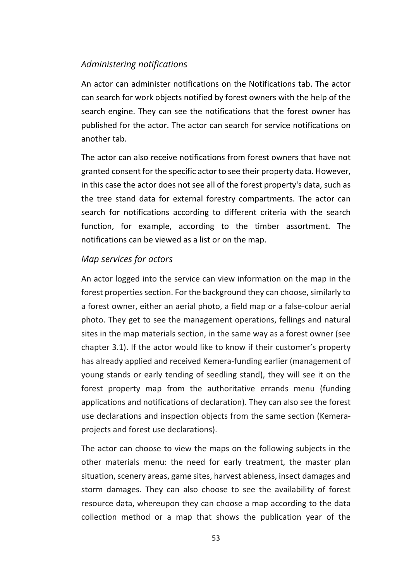## *Administering notifications*

An actor can administer notifications on the Notifications tab. The actor can search for work objects notified by forest owners with the help of the search engine. They can see the notifications that the forest owner has published for the actor. The actor can search for service notifications on another tab.

The actor can also receive notifications from forest owners that have not granted consent for the specific actor to see their property data. However, in this case the actor does not see all of the forest property's data, such as the tree stand data for external forestry compartments. The actor can search for notifications according to different criteria with the search function, for example, according to the timber assortment. The notifications can be viewed as a list or on the map.

#### *Map services for actors*

An actor logged into the service can view information on the map in the forest properties section. For the background they can choose, similarly to a forest owner, either an aerial photo, a field map or a false-colour aerial photo. They get to see the management operations, fellings and natural sites in the map materials section, in the same way as a forest owner (see chapter 3.1). If the actor would like to know if their customer's property has already applied and received Kemera-funding earlier (management of young stands or early tending of seedling stand), they will see it on the forest property map from the authoritative errands menu (funding applications and notifications of declaration). They can also see the forest use declarations and inspection objects from the same section (Kemeraprojects and forest use declarations).

The actor can choose to view the maps on the following subjects in the other materials menu: the need for early treatment, the master plan situation, scenery areas, game sites, harvest ableness, insect damages and storm damages. They can also choose to see the availability of forest resource data, whereupon they can choose a map according to the data collection method or a map that shows the publication year of the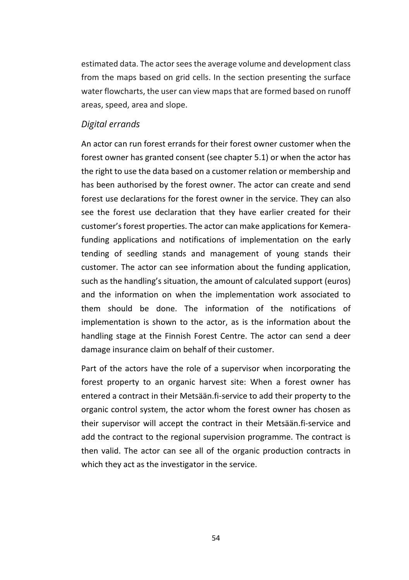estimated data. The actor sees the average volume and development class from the maps based on grid cells. In the section presenting the surface water flowcharts, the user can view maps that are formed based on runoff areas, speed, area and slope.

#### *Digital errands*

An actor can run forest errands for their forest owner customer when the forest owner has granted consent (see chapter 5.1) or when the actor has the right to use the data based on a customer relation or membership and has been authorised by the forest owner. The actor can create and send forest use declarations for the forest owner in the service. They can also see the forest use declaration that they have earlier created for their customer's forest properties. The actor can make applications for Kemerafunding applications and notifications of implementation on the early tending of seedling stands and management of young stands their customer. The actor can see information about the funding application, such as the handling's situation, the amount of calculated support (euros) and the information on when the implementation work associated to them should be done. The information of the notifications of implementation is shown to the actor, as is the information about the handling stage at the Finnish Forest Centre. The actor can send a deer damage insurance claim on behalf of their customer.

Part of the actors have the role of a supervisor when incorporating the forest property to an organic harvest site: When a forest owner has entered a contract in their Metsään.fi-service to add their property to the organic control system, the actor whom the forest owner has chosen as their supervisor will accept the contract in their Metsään.fi-service and add the contract to the regional supervision programme. The contract is then valid. The actor can see all of the organic production contracts in which they act as the investigator in the service.

54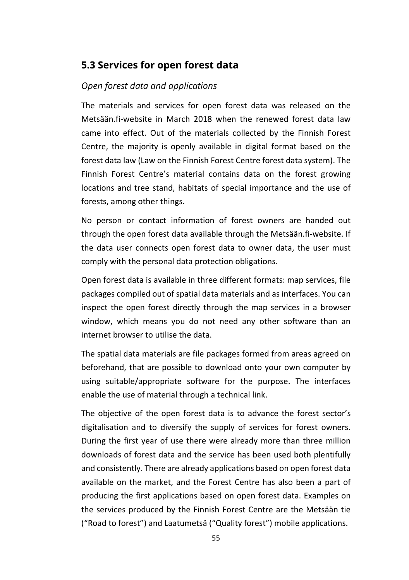# **5.3 Services for open forest data**

# *Open forest data and applications*

The materials and services for open forest data was released on the Metsään.fi-website in March 2018 when the renewed forest data law came into effect. Out of the materials collected by the Finnish Forest Centre, the majority is openly available in digital format based on the forest data law (Law on the Finnish Forest Centre forest data system). The Finnish Forest Centre's material contains data on the forest growing locations and tree stand, habitats of special importance and the use of forests, among other things.

No person or contact information of forest owners are handed out through the open forest data available through the Metsään.fi-website. If the data user connects open forest data to owner data, the user must comply with the personal data protection obligations.

Open forest data is available in three different formats: map services, file packages compiled out of spatial data materials and as interfaces. You can inspect the open forest directly through the map services in a browser window, which means you do not need any other software than an internet browser to utilise the data.

The spatial data materials are file packages formed from areas agreed on beforehand, that are possible to download onto your own computer by using suitable/appropriate software for the purpose. The interfaces enable the use of material through a technical link.

The objective of the open forest data is to advance the forest sector's digitalisation and to diversify the supply of services for forest owners. During the first year of use there were already more than three million downloads of forest data and the service has been used both plentifully and consistently. There are already applications based on open forest data available on the market, and the Forest Centre has also been a part of producing the first applications based on open forest data. Examples on the services produced by the Finnish Forest Centre are the Metsään tie ("Road to forest") and Laatumetsä ("Quality forest") mobile applications.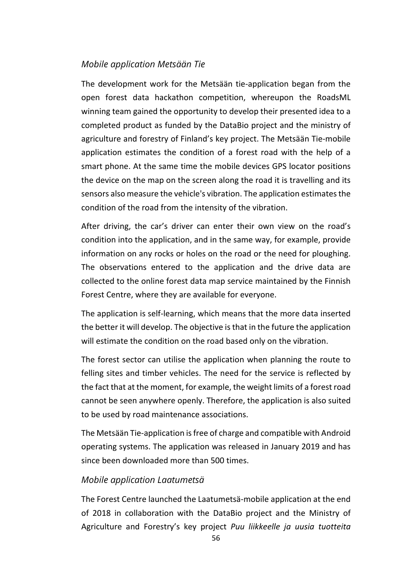## *Mobile application Metsään Tie*

The development work for the Metsään tie-application began from the open forest data hackathon competition, whereupon the RoadsML winning team gained the opportunity to develop their presented idea to a completed product as funded by the DataBio project and the ministry of agriculture and forestry of Finland's key project. The Metsään Tie-mobile application estimates the condition of a forest road with the help of a smart phone. At the same time the mobile devices GPS locator positions the device on the map on the screen along the road it is travelling and its sensors also measure the vehicle's vibration. The application estimates the condition of the road from the intensity of the vibration.

After driving, the car's driver can enter their own view on the road's condition into the application, and in the same way, for example, provide information on any rocks or holes on the road or the need for ploughing. The observations entered to the application and the drive data are collected to the online forest data map service maintained by the Finnish Forest Centre, where they are available for everyone.

The application is self-learning, which means that the more data inserted the better it will develop. The objective is that in the future the application will estimate the condition on the road based only on the vibration.

The forest sector can utilise the application when planning the route to felling sites and timber vehicles. The need for the service is reflected by the fact that at the moment, for example, the weight limits of a forest road cannot be seen anywhere openly. Therefore, the application is also suited to be used by road maintenance associations.

The Metsään Tie-application is free of charge and compatible with Android operating systems. The application was released in January 2019 and has since been downloaded more than 500 times.

## *Mobile application Laatumetsä*

The Forest Centre launched the Laatumetsä-mobile application at the end of 2018 in collaboration with the DataBio project and the Ministry of Agriculture and Forestry's key project *Puu liikkeelle ja uusia tuotteita*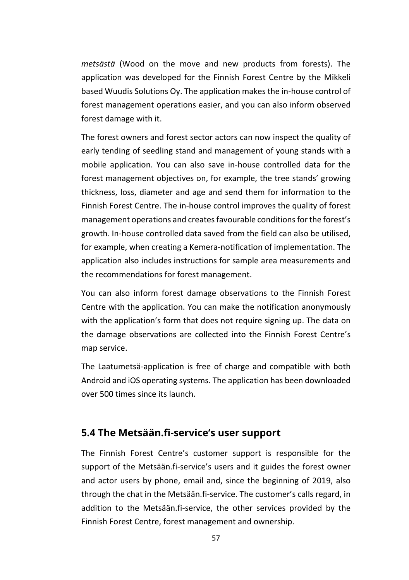*metsästä* (Wood on the move and new products from forests). The application was developed for the Finnish Forest Centre by the Mikkeli based Wuudis Solutions Oy. The application makes the in-house control of forest management operations easier, and you can also inform observed forest damage with it.

The forest owners and forest sector actors can now inspect the quality of early tending of seedling stand and management of young stands with a mobile application. You can also save in-house controlled data for the forest management objectives on, for example, the tree stands' growing thickness, loss, diameter and age and send them for information to the Finnish Forest Centre. The in-house control improves the quality of forest management operations and creates favourable conditions for the forest's growth. In-house controlled data saved from the field can also be utilised, for example, when creating a Kemera-notification of implementation. The application also includes instructions for sample area measurements and the recommendations for forest management.

You can also inform forest damage observations to the Finnish Forest Centre with the application. You can make the notification anonymously with the application's form that does not require signing up. The data on the damage observations are collected into the Finnish Forest Centre's map service.

The Laatumetsä-application is free of charge and compatible with both Android and iOS operating systems. The application has been downloaded over 500 times since its launch.

# **5.4 The Metsään.fi-service's user support**

The Finnish Forest Centre's customer support is responsible for the support of the Metsään.fi-service's users and it guides the forest owner and actor users by phone, email and, since the beginning of 2019, also through the chat in the Metsään.fi-service. The customer's calls regard, in addition to the Metsään.fi-service, the other services provided by the Finnish Forest Centre, forest management and ownership.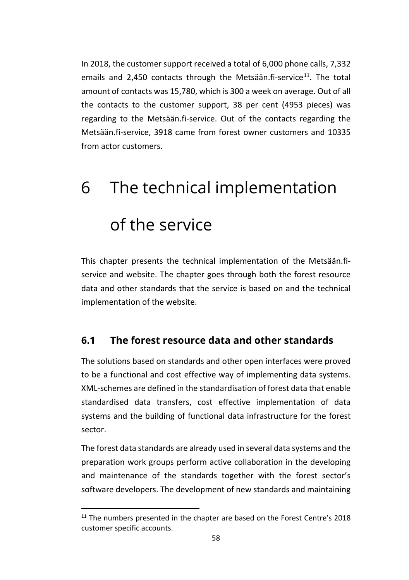In 2018, the customer support received a total of 6,000 phone calls, 7,332 emails and 2,450 contacts through the Metsään.fi-service $11$ . The total amount of contacts was 15,780, which is 300 a week on average. Out of all the contacts to the customer support, 38 per cent (4953 pieces) was regarding to the Metsään.fi-service. Out of the contacts regarding the Metsään.fi-service, 3918 came from forest owner customers and 10335 from actor customers.

# 6 The technical implementation of the service

This chapter presents the technical implementation of the Metsään.fiservice and website. The chapter goes through both the forest resource data and other standards that the service is based on and the technical implementation of the website.

# **6.1 The forest resource data and other standards**

The solutions based on standards and other open interfaces were proved to be a functional and cost effective way of implementing data systems. XML-schemes are defined in the standardisation of forest data that enable standardised data transfers, cost effective implementation of data systems and the building of functional data infrastructure for the forest sector.

The forest data standards are already used in several data systems and the preparation work groups perform active collaboration in the developing and maintenance of the standards together with the forest sector's software developers. The development of new standards and maintaining

<span id="page-58-0"></span> $11$  The numbers presented in the chapter are based on the Forest Centre's 2018 customer specific accounts.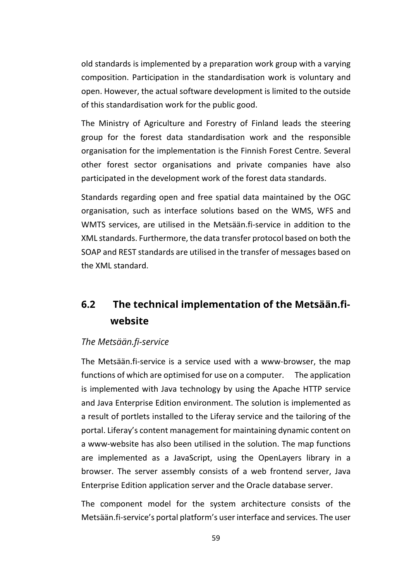old standards is implemented by a preparation work group with a varying composition. Participation in the standardisation work is voluntary and open. However, the actual software development is limited to the outside of this standardisation work for the public good.

The Ministry of Agriculture and Forestry of Finland leads the steering group for the forest data standardisation work and the responsible organisation for the implementation is the Finnish Forest Centre. Several other forest sector organisations and private companies have also participated in the development work of the forest data standards.

Standards regarding open and free spatial data maintained by the OGC organisation, such as interface solutions based on the WMS, WFS and WMTS services, are utilised in the Metsään.fi-service in addition to the XML standards. Furthermore, the data transfer protocol based on both the SOAP and REST standards are utilised in the transfer of messages based on the XML standard.

# **6.2 The technical implementation of the Metsään.fiwebsite**

## *The Metsään.fi-service*

The Metsään.fi-service is a service used with a www-browser, the map functions of which are optimised for use on a computer. The application is implemented with Java technology by using the Apache HTTP service and Java Enterprise Edition environment. The solution is implemented as a result of portlets installed to the Liferay service and the tailoring of the portal. Liferay's content management for maintaining dynamic content on a www-website has also been utilised in the solution. The map functions are implemented as a JavaScript, using the OpenLayers library in a browser. The server assembly consists of a web frontend server, Java Enterprise Edition application server and the Oracle database server.

The component model for the system architecture consists of the Metsään.fi-service's portal platform's user interface and services. The user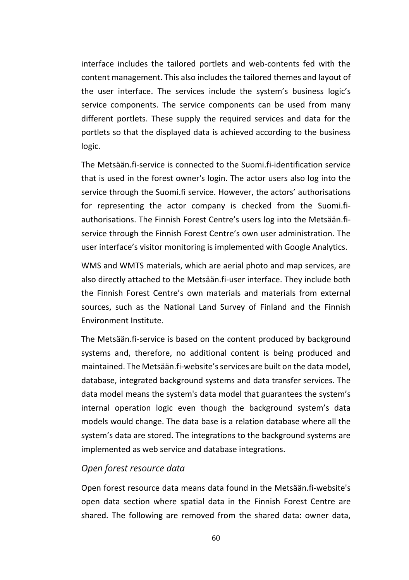interface includes the tailored portlets and web-contents fed with the content management. This also includes the tailored themes and layout of the user interface. The services include the system's business logic's service components. The service components can be used from many different portlets. These supply the required services and data for the portlets so that the displayed data is achieved according to the business logic.

The Metsään.fi-service is connected to the Suomi.fi-identification service that is used in the forest owner's login. The actor users also log into the service through the Suomi.fi service. However, the actors' authorisations for representing the actor company is checked from the Suomi.fiauthorisations. The Finnish Forest Centre's users log into the Metsään.fiservice through the Finnish Forest Centre's own user administration. The user interface's visitor monitoring is implemented with Google Analytics.

WMS and WMTS materials, which are aerial photo and map services, are also directly attached to the Metsään.fi-user interface. They include both the Finnish Forest Centre's own materials and materials from external sources, such as the National Land Survey of Finland and the Finnish Environment Institute.

The Metsään.fi-service is based on the content produced by background systems and, therefore, no additional content is being produced and maintained. The Metsään.fi-website's services are built on the data model, database, integrated background systems and data transfer services. The data model means the system's data model that guarantees the system's internal operation logic even though the background system's data models would change. The data base is a relation database where all the system's data are stored. The integrations to the background systems are implemented as web service and database integrations.

#### *Open forest resource data*

Open forest resource data means data found in the Metsään.fi-website's open data section where spatial data in the Finnish Forest Centre are shared. The following are removed from the shared data: owner data,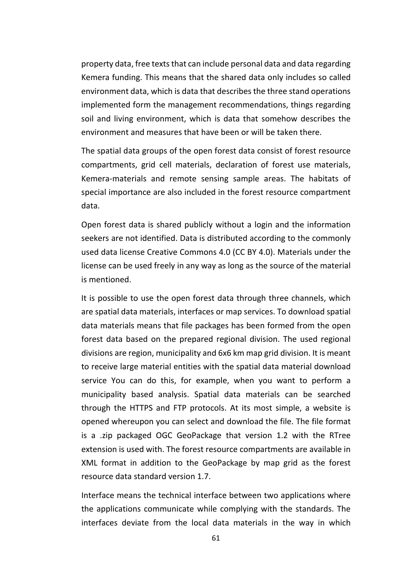property data, free texts that can include personal data and data regarding Kemera funding. This means that the shared data only includes so called environment data, which is data that describes the three stand operations implemented form the management recommendations, things regarding soil and living environment, which is data that somehow describes the environment and measures that have been or will be taken there.

The spatial data groups of the open forest data consist of forest resource compartments, grid cell materials, declaration of forest use materials, Kemera-materials and remote sensing sample areas. The habitats of special importance are also included in the forest resource compartment data.

Open forest data is shared publicly without a login and the information seekers are not identified. Data is distributed according to the commonly used data license Creative Commons 4.0 (CC BY 4.0). Materials under the license can be used freely in any way as long as the source of the material is mentioned.

It is possible to use the open forest data through three channels, which are spatial data materials, interfaces or map services. To download spatial data materials means that file packages has been formed from the open forest data based on the prepared regional division. The used regional divisions are region, municipality and 6x6 km map grid division. It is meant to receive large material entities with the spatial data material download service You can do this, for example, when you want to perform a municipality based analysis. Spatial data materials can be searched through the HTTPS and FTP protocols. At its most simple, a website is opened whereupon you can select and download the file. The file format is a .zip packaged OGC GeoPackage that version 1.2 with the RTree extension is used with. The forest resource compartments are available in XML format in addition to the GeoPackage by map grid as the forest resource data standard version 1.7.

Interface means the technical interface between two applications where the applications communicate while complying with the standards. The interfaces deviate from the local data materials in the way in which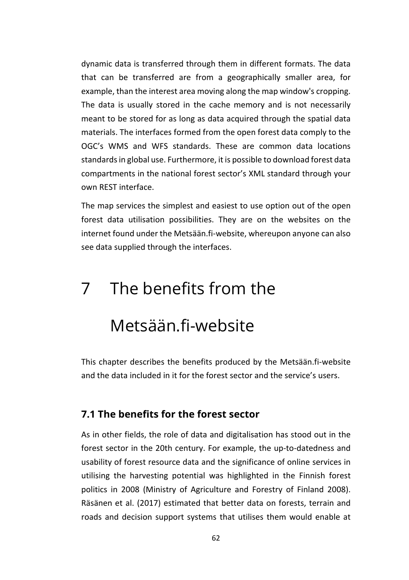dynamic data is transferred through them in different formats. The data that can be transferred are from a geographically smaller area, for example, than the interest area moving along the map window's cropping. The data is usually stored in the cache memory and is not necessarily meant to be stored for as long as data acquired through the spatial data materials. The interfaces formed from the open forest data comply to the OGC's WMS and WFS standards. These are common data locations standards in global use. Furthermore, it is possible to download forest data compartments in the national forest sector's XML standard through your own REST interface.

The map services the simplest and easiest to use option out of the open forest data utilisation possibilities. They are on the websites on the internet found under the Metsään.fi-website, whereupon anyone can also see data supplied through the interfaces.

# 7 The benefits from the

# Metsään.fi-website

This chapter describes the benefits produced by the Metsään.fi-website and the data included in it for the forest sector and the service's users.

# **7.1 The benefits for the forest sector**

As in other fields, the role of data and digitalisation has stood out in the forest sector in the 20th century. For example, the up-to-datedness and usability of forest resource data and the significance of online services in utilising the harvesting potential was highlighted in the Finnish forest politics in 2008 (Ministry of Agriculture and Forestry of Finland 2008). Räsänen et al. (2017) estimated that better data on forests, terrain and roads and decision support systems that utilises them would enable at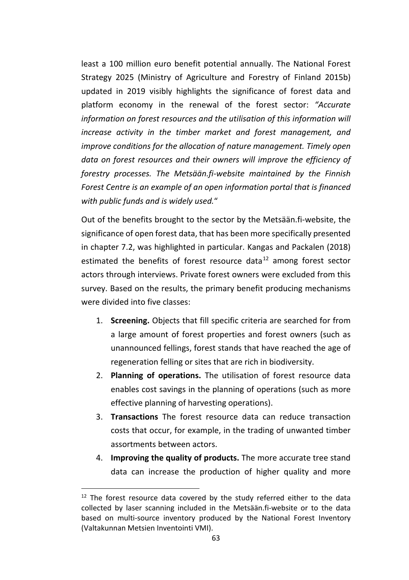least a 100 million euro benefit potential annually. The National Forest Strategy 2025 (Ministry of Agriculture and Forestry of Finland 2015b) updated in 2019 visibly highlights the significance of forest data and platform economy in the renewal of the forest sector: *"Accurate information on forest resources and the utilisation of this information will increase activity in the timber market and forest management, and improve conditions for the allocation of nature management. Timely open data on forest resources and their owners will improve the efficiency of forestry processes. The Metsään.fi-website maintained by the Finnish Forest Centre is an example of an open information portal that is financed with public funds and is widely used.*"

Out of the benefits brought to the sector by the Metsään.fi-website, the significance of open forest data, that has been more specifically presented in chapter 7.2, was highlighted in particular. Kangas and Packalen (2018) estimated the benefits of forest resource data $^{12}$  $^{12}$  $^{12}$  among forest sector actors through interviews. Private forest owners were excluded from this survey. Based on the results, the primary benefit producing mechanisms were divided into five classes:

- 1. **Screening.** Objects that fill specific criteria are searched for from a large amount of forest properties and forest owners (such as unannounced fellings, forest stands that have reached the age of regeneration felling or sites that are rich in biodiversity.
- 2. **Planning of operations.** The utilisation of forest resource data enables cost savings in the planning of operations (such as more effective planning of harvesting operations).
- 3. **Transactions** The forest resource data can reduce transaction costs that occur, for example, in the trading of unwanted timber assortments between actors.
- 4. **Improving the quality of products.** The more accurate tree stand data can increase the production of higher quality and more

<span id="page-63-0"></span> $12$  The forest resource data covered by the study referred either to the data collected by laser scanning included in the Metsään.fi-website or to the data based on multi-source inventory produced by the National Forest Inventory (Valtakunnan Metsien Inventointi VMI).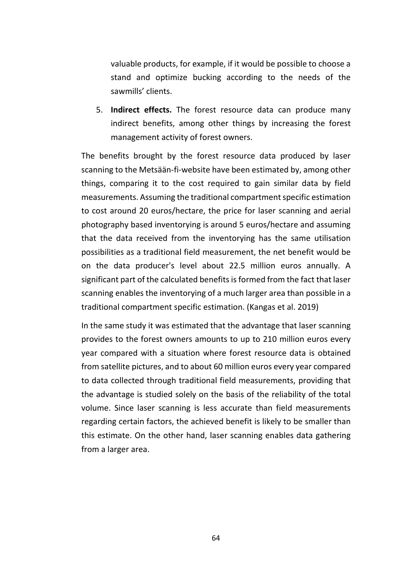valuable products, for example, if it would be possible to choose a stand and optimize bucking according to the needs of the sawmills' clients.

5. **Indirect effects.** The forest resource data can produce many indirect benefits, among other things by increasing the forest management activity of forest owners.

The benefits brought by the forest resource data produced by laser scanning to the Metsään-fi-website have been estimated by, among other things, comparing it to the cost required to gain similar data by field measurements. Assuming the traditional compartment specific estimation to cost around 20 euros/hectare, the price for laser scanning and aerial photography based inventorying is around 5 euros/hectare and assuming that the data received from the inventorying has the same utilisation possibilities as a traditional field measurement, the net benefit would be on the data producer's level about 22.5 million euros annually. A significant part of the calculated benefits is formed from the fact that laser scanning enables the inventorying of a much larger area than possible in a traditional compartment specific estimation. (Kangas et al. 2019)

In the same study it was estimated that the advantage that laser scanning provides to the forest owners amounts to up to 210 million euros every year compared with a situation where forest resource data is obtained from satellite pictures, and to about 60 million euros every year compared to data collected through traditional field measurements, providing that the advantage is studied solely on the basis of the reliability of the total volume. Since laser scanning is less accurate than field measurements regarding certain factors, the achieved benefit is likely to be smaller than this estimate. On the other hand, laser scanning enables data gathering from a larger area.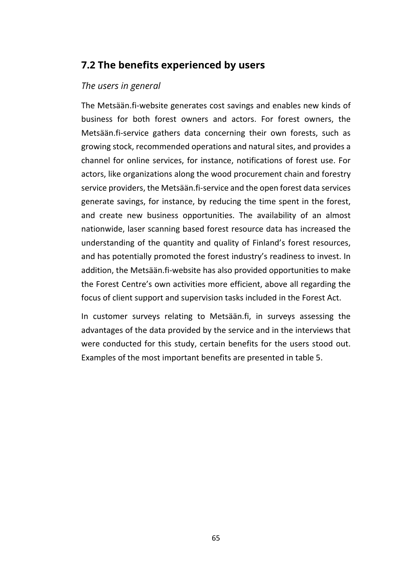# **7.2 The benefits experienced by users**

# *The users in general*

The Metsään.fi-website generates cost savings and enables new kinds of business for both forest owners and actors. For forest owners, the Metsään.fi-service gathers data concerning their own forests, such as growing stock, recommended operations and natural sites, and provides a channel for online services, for instance, notifications of forest use. For actors, like organizations along the wood procurement chain and forestry service providers, the Metsään.fi-service and the open forest data services generate savings, for instance, by reducing the time spent in the forest, and create new business opportunities. The availability of an almost nationwide, laser scanning based forest resource data has increased the understanding of the quantity and quality of Finland's forest resources, and has potentially promoted the forest industry's readiness to invest. In addition, the Metsään.fi-website has also provided opportunities to make the Forest Centre's own activities more efficient, above all regarding the focus of client support and supervision tasks included in the Forest Act.

In customer surveys relating to Metsään.fi, in surveys assessing the advantages of the data provided by the service and in the interviews that were conducted for this study, certain benefits for the users stood out. Examples of the most important benefits are presented in table 5.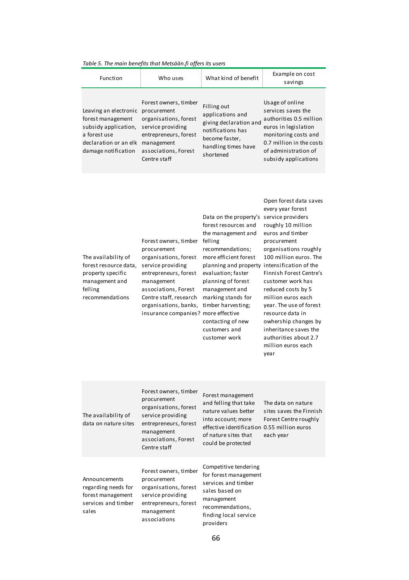|                                                                                                                                    | rable 5. The main benefits that Metsaan.ji offers its users                                                                                                                                                                                 |                                                                                                                                                                                                                                                                                                                                               |                                                                                                                                                                                                                                                                                                                                                                                                                                 |
|------------------------------------------------------------------------------------------------------------------------------------|---------------------------------------------------------------------------------------------------------------------------------------------------------------------------------------------------------------------------------------------|-----------------------------------------------------------------------------------------------------------------------------------------------------------------------------------------------------------------------------------------------------------------------------------------------------------------------------------------------|---------------------------------------------------------------------------------------------------------------------------------------------------------------------------------------------------------------------------------------------------------------------------------------------------------------------------------------------------------------------------------------------------------------------------------|
| Function                                                                                                                           | Who uses                                                                                                                                                                                                                                    | What kind of benefit                                                                                                                                                                                                                                                                                                                          | Example on cost<br>savings                                                                                                                                                                                                                                                                                                                                                                                                      |
| Leaving an electronic<br>forest management<br>subsidy application,<br>a forest use<br>declaration or an elk<br>damage notification | Forest owners, timber<br>procurement<br>organisations, forest<br>service providing<br>entrepreneurs, forest<br>management<br>associations, Forest<br>Centre staff                                                                           | Filling out<br>applications and<br>giving declaration and<br>notifications has<br>become faster,<br>handling times have<br>shortened                                                                                                                                                                                                          | Usage of online<br>services saves the<br>authorities 0.5 million<br>euros in legislation<br>monitoring costs and<br>0.7 million in the costs<br>of administration of<br>subsidy applications                                                                                                                                                                                                                                    |
| The availability of<br>forest resource data,<br>property specific<br>management and<br>felling<br>recommendations                  | Forest owners, timber<br>procurement<br>organisations, forest<br>service providing<br>entrepreneurs, forest<br>management<br>associations, Forest<br>Centre staff, research<br>organisations, banks,<br>insurance companies? more effective | Data on the property's<br>forest resources and<br>the management and<br>felling<br>recommendations;<br>more efficient forest<br>planning and property intensification of the<br>evaluation; faster<br>planning of forest<br>management and<br>marking stands for<br>timber harvesting;<br>contacting of new<br>customers and<br>customer work | Open forest data saves<br>every year forest<br>service providers<br>roughly 10 million<br>euros and timber<br>procurement<br>organisations roughly<br>100 million euros. The<br>Finnish Forest Centre's<br>customer work has<br>reduced costs by 5<br>million euros each<br>year. The use of forest<br>resource data in<br>owhership changes by<br>inheritance saves the<br>authorities about 2.7<br>million euros each<br>year |
| The availability of<br>data on nature sites                                                                                        | Forest owners, timber<br>procurement<br>organisations, forest<br>service providing<br>entrepreneurs, forest<br>management<br>associations, Forest<br>Centre staff                                                                           | Forest management<br>and felling that take<br>nature values better<br>into account; more<br>effective identification 0.55 million euros<br>of nature sites that<br>could be protected                                                                                                                                                         | The data on nature<br>sites saves the Finnish<br>Forest Centre roughly<br>each year                                                                                                                                                                                                                                                                                                                                             |
|                                                                                                                                    | Forest owners, timber                                                                                                                                                                                                                       | Competitive tendering                                                                                                                                                                                                                                                                                                                         |                                                                                                                                                                                                                                                                                                                                                                                                                                 |

*Table 5. The main benefits that Metsään.fi offers its users*

Announcements regarding needs for forest management services and timber sales

procurement organisations, forest service providing entrepreneurs, forest management associations

for forest management services and timber sales based on management recommendations, finding local service providers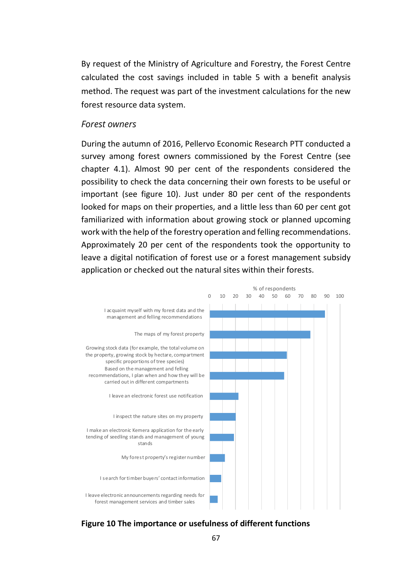By request of the Ministry of Agriculture and Forestry, the Forest Centre calculated the cost savings included in table 5 with a benefit analysis method. The request was part of the investment calculations for the new forest resource data system.

#### *Forest owners*

During the autumn of 2016, Pellervo Economic Research PTT conducted a survey among forest owners commissioned by the Forest Centre (see chapter 4.1). Almost 90 per cent of the respondents considered the possibility to check the data concerning their own forests to be useful or important (see figure 10). Just under 80 per cent of the respondents looked for maps on their properties, and a little less than 60 per cent got familiarized with information about growing stock or planned upcoming work with the help of the forestry operation and felling recommendations. Approximately 20 per cent of the respondents took the opportunity to leave a digital notification of forest use or a forest management subsidy application or checked out the natural sites within their forests.



**Figure 10 The importance or usefulness of different functions**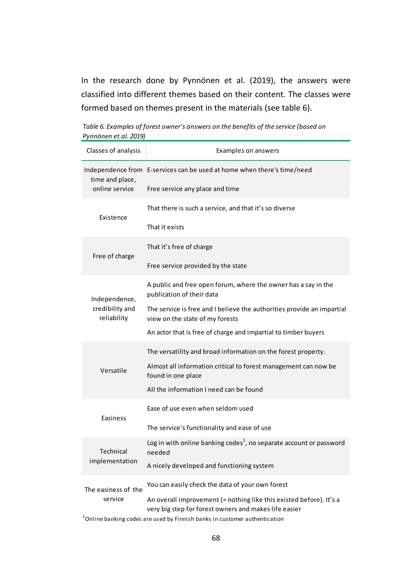In the research done by Pynnönen et al. (2019), the answers were classified into different themes based on their content. The classes were formed based on themes present in the materials (see table 6).

| Table 6. Examples of forest owner's answers on the benefits of the service (based on |  |
|--------------------------------------------------------------------------------------|--|
| Pynnönen et.al. 2019)                                                                |  |

| Classes of analysis                                 | Examples on answers                                                                                                          |
|-----------------------------------------------------|------------------------------------------------------------------------------------------------------------------------------|
| time and place,                                     | Independence from E-services can be used at home when there's time/need                                                      |
| online service                                      | Free service any place and time                                                                                              |
| Existence                                           | That there is such a service, and that it's so diverse                                                                       |
|                                                     | That it exists                                                                                                               |
| Free of charge                                      | That it's free of charge                                                                                                     |
|                                                     | Free service provided by the state                                                                                           |
| Independence,<br>credibility and<br>reliability     | A public and free open forum, where the owner has a say in the<br>publication of their data                                  |
|                                                     | The service is free and I believe the authorities provide an impartial<br>view on the state of my forests                    |
|                                                     | An actor that is free of charge and impartial to timber buyers                                                               |
| Versatile                                           | The versatility and broad information on the forest property.                                                                |
|                                                     | Almost all information critical to forest management can now be<br>found in one place                                        |
|                                                     | All the information I need can be found                                                                                      |
| Easiness                                            | Ease of use even when seldom used                                                                                            |
|                                                     | The service's functionality and ease of use                                                                                  |
| Technical<br>implementation                         | Log in with online banking codes <sup>1</sup> , no separate account or password<br>needed                                    |
|                                                     | A nicely developed and functioning system                                                                                    |
| The easiness of the<br>service<br>المعامل والمستحدث | You can easily check the data of your own forest                                                                             |
|                                                     | An overall improvement (= nothing like this existed before). It's a<br>very big step for forest owners and makes life easier |

 $^1$ Online banking codes are used by Finnish banks in customer authentication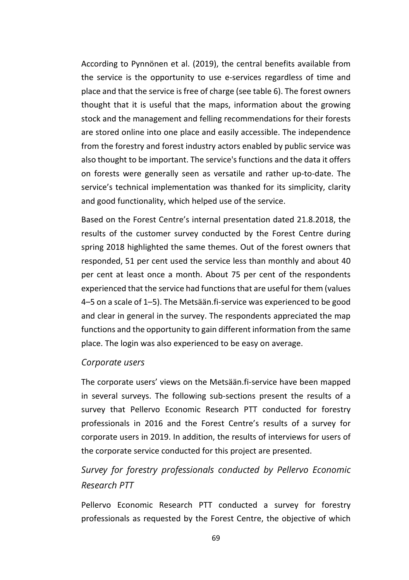According to Pynnönen et al. (2019), the central benefits available from the service is the opportunity to use e-services regardless of time and place and that the service is free of charge (see table 6). The forest owners thought that it is useful that the maps, information about the growing stock and the management and felling recommendations for their forests are stored online into one place and easily accessible. The independence from the forestry and forest industry actors enabled by public service was also thought to be important. The service's functions and the data it offers on forests were generally seen as versatile and rather up-to-date. The service's technical implementation was thanked for its simplicity, clarity and good functionality, which helped use of the service.

Based on the Forest Centre's internal presentation dated 21.8.2018, the results of the customer survey conducted by the Forest Centre during spring 2018 highlighted the same themes. Out of the forest owners that responded, 51 per cent used the service less than monthly and about 40 per cent at least once a month. About 75 per cent of the respondents experienced that the service had functions that are useful for them (values 4–5 on a scale of 1–5). The Metsään.fi-service was experienced to be good and clear in general in the survey. The respondents appreciated the map functions and the opportunity to gain different information from the same place. The login was also experienced to be easy on average.

#### *Corporate users*

The corporate users' views on the Metsään.fi-service have been mapped in several surveys. The following sub-sections present the results of a survey that Pellervo Economic Research PTT conducted for forestry professionals in 2016 and the Forest Centre's results of a survey for corporate users in 2019. In addition, the results of interviews for users of the corporate service conducted for this project are presented.

# *Survey for forestry professionals conducted by Pellervo Economic Research PTT*

Pellervo Economic Research PTT conducted a survey for forestry professionals as requested by the Forest Centre, the objective of which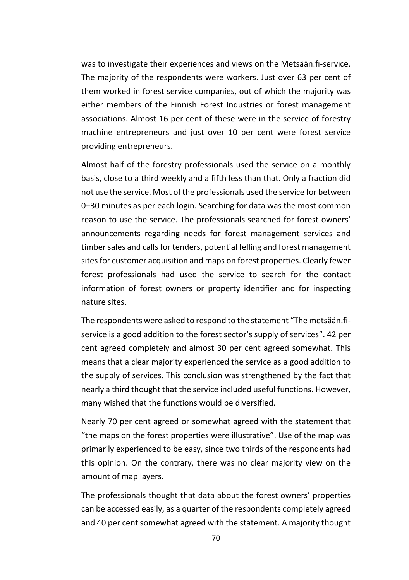was to investigate their experiences and views on the Metsään.fi-service. The majority of the respondents were workers. Just over 63 per cent of them worked in forest service companies, out of which the majority was either members of the Finnish Forest Industries or forest management associations. Almost 16 per cent of these were in the service of forestry machine entrepreneurs and just over 10 per cent were forest service providing entrepreneurs.

Almost half of the forestry professionals used the service on a monthly basis, close to a third weekly and a fifth less than that. Only a fraction did not use the service. Most of the professionals used the service for between 0–30 minutes as per each login. Searching for data was the most common reason to use the service. The professionals searched for forest owners' announcements regarding needs for forest management services and timber sales and calls for tenders, potential felling and forest management sites for customer acquisition and maps on forest properties. Clearly fewer forest professionals had used the service to search for the contact information of forest owners or property identifier and for inspecting nature sites.

The respondents were asked to respond to the statement "The metsään.fiservice is a good addition to the forest sector's supply of services". 42 per cent agreed completely and almost 30 per cent agreed somewhat. This means that a clear majority experienced the service as a good addition to the supply of services. This conclusion was strengthened by the fact that nearly a third thought that the service included useful functions. However, many wished that the functions would be diversified.

Nearly 70 per cent agreed or somewhat agreed with the statement that "the maps on the forest properties were illustrative". Use of the map was primarily experienced to be easy, since two thirds of the respondents had this opinion. On the contrary, there was no clear majority view on the amount of map layers.

The professionals thought that data about the forest owners' properties can be accessed easily, as a quarter of the respondents completely agreed and 40 per cent somewhat agreed with the statement. A majority thought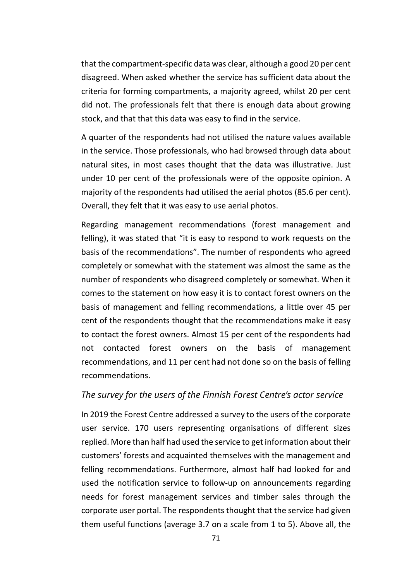that the compartment-specific data was clear, although a good 20 per cent disagreed. When asked whether the service has sufficient data about the criteria for forming compartments, a majority agreed, whilst 20 per cent did not. The professionals felt that there is enough data about growing stock, and that that this data was easy to find in the service.

A quarter of the respondents had not utilised the nature values available in the service. Those professionals, who had browsed through data about natural sites, in most cases thought that the data was illustrative. Just under 10 per cent of the professionals were of the opposite opinion. A majority of the respondents had utilised the aerial photos (85.6 per cent). Overall, they felt that it was easy to use aerial photos.

Regarding management recommendations (forest management and felling), it was stated that "it is easy to respond to work requests on the basis of the recommendations". The number of respondents who agreed completely or somewhat with the statement was almost the same as the number of respondents who disagreed completely or somewhat. When it comes to the statement on how easy it is to contact forest owners on the basis of management and felling recommendations, a little over 45 per cent of the respondents thought that the recommendations make it easy to contact the forest owners. Almost 15 per cent of the respondents had not contacted forest owners on the basis of management recommendations, and 11 per cent had not done so on the basis of felling recommendations.

## *The survey for the users of the Finnish Forest Centre's actor service*

In 2019 the Forest Centre addressed a survey to the users of the corporate user service. 170 users representing organisations of different sizes replied. More than half had used the service to get information about their customers' forests and acquainted themselves with the management and felling recommendations. Furthermore, almost half had looked for and used the notification service to follow-up on announcements regarding needs for forest management services and timber sales through the corporate user portal. The respondents thought that the service had given them useful functions (average 3.7 on a scale from 1 to 5). Above all, the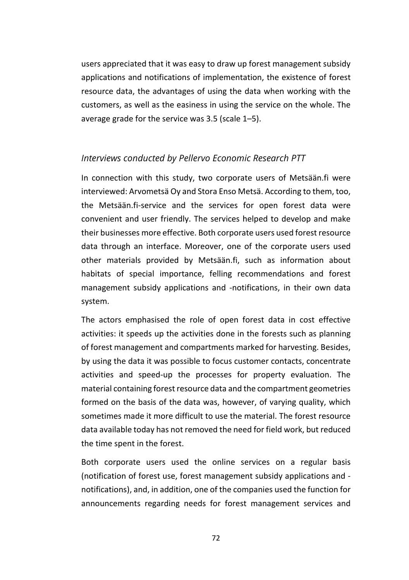users appreciated that it was easy to draw up forest management subsidy applications and notifications of implementation, the existence of forest resource data, the advantages of using the data when working with the customers, as well as the easiness in using the service on the whole. The average grade for the service was 3.5 (scale 1–5).

### *Interviews conducted by Pellervo Economic Research PTT*

In connection with this study, two corporate users of Metsään.fi were interviewed: Arvometsä Oy and Stora Enso Metsä. According to them, too, the Metsään.fi-service and the services for open forest data were convenient and user friendly. The services helped to develop and make their businesses more effective. Both corporate users used forest resource data through an interface. Moreover, one of the corporate users used other materials provided by Metsään.fi, such as information about habitats of special importance, felling recommendations and forest management subsidy applications and -notifications, in their own data system.

The actors emphasised the role of open forest data in cost effective activities: it speeds up the activities done in the forests such as planning of forest management and compartments marked for harvesting. Besides, by using the data it was possible to focus customer contacts, concentrate activities and speed-up the processes for property evaluation. The material containing forest resource data and the compartment geometries formed on the basis of the data was, however, of varying quality, which sometimes made it more difficult to use the material. The forest resource data available today has not removed the need for field work, but reduced the time spent in the forest.

Both corporate users used the online services on a regular basis (notification of forest use, forest management subsidy applications and notifications), and, in addition, one of the companies used the function for announcements regarding needs for forest management services and

72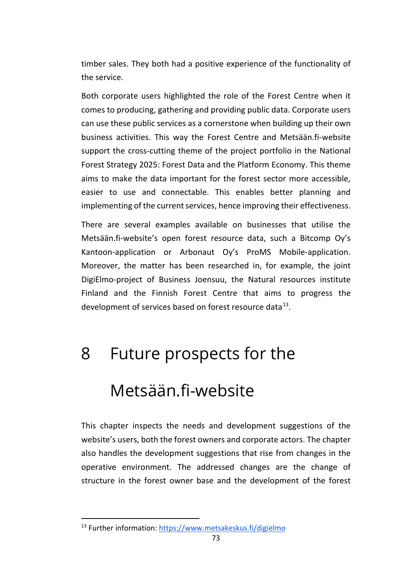timber sales. They both had a positive experience of the functionality of the service.

Both corporate users highlighted the role of the Forest Centre when it comes to producing, gathering and providing public data. Corporate users can use these public services as a cornerstone when building up their own business activities. This way the Forest Centre and Metsään.fi-website support the cross-cutting theme of the project portfolio in the National Forest Strategy 2025: Forest Data and the Platform Economy. This theme aims to make the data important for the forest sector more accessible, easier to use and connectable. This enables better planning and implementing of the current services, hence improving their effectiveness.

There are several examples available on businesses that utilise the Metsään.fi-website's open forest resource data, such a Bitcomp Oy's Kantoon-application or Arbonaut Oy's ProMS Mobile-application. Moreover, the matter has been researched in, for example, the joint DigiElmo-project of Business Joensuu, the Natural resources institute Finland and the Finnish Forest Centre that aims to progress the development of services based on forest resource data $^{13}$  $^{13}$  $^{13}$ .

# 8 Future prospects for the Metsään.fi-website

This chapter inspects the needs and development suggestions of the website's users, both the forest owners and corporate actors. The chapter also handles the development suggestions that rise from changes in the operative environment. The addressed changes are the change of structure in the forest owner base and the development of the forest

<span id="page-73-0"></span><sup>13</sup> Further information:<https://www.metsakeskus.fi/digielmo>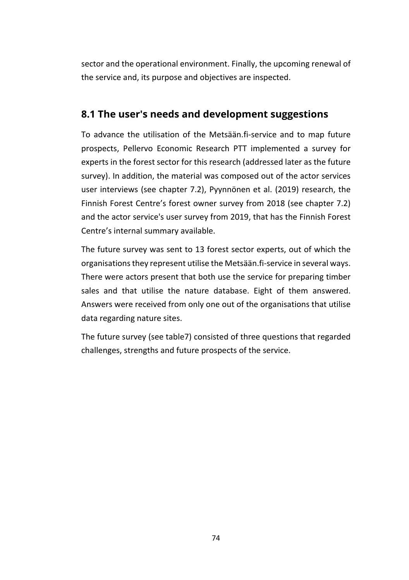sector and the operational environment. Finally, the upcoming renewal of the service and, its purpose and objectives are inspected.

# **8.1 The user's needs and development suggestions**

To advance the utilisation of the Metsään.fi-service and to map future prospects, Pellervo Economic Research PTT implemented a survey for experts in the forest sector for this research (addressed later as the future survey). In addition, the material was composed out of the actor services user interviews (see chapter 7.2), Pyynnönen et al. (2019) research, the Finnish Forest Centre's forest owner survey from 2018 (see chapter 7.2) and the actor service's user survey from 2019, that has the Finnish Forest Centre's internal summary available.

The future survey was sent to 13 forest sector experts, out of which the organisations they represent utilise the Metsään.fi-service in several ways. There were actors present that both use the service for preparing timber sales and that utilise the nature database. Eight of them answered. Answers were received from only one out of the organisations that utilise data regarding nature sites.

The future survey (see table7) consisted of three questions that regarded challenges, strengths and future prospects of the service.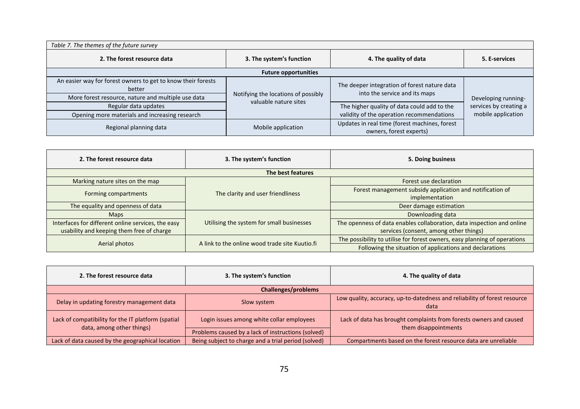| Table 7. The themes of the future survey                                                                                     |                                                              |                                                                               |                        |  |  |
|------------------------------------------------------------------------------------------------------------------------------|--------------------------------------------------------------|-------------------------------------------------------------------------------|------------------------|--|--|
| 2. The forest resource data                                                                                                  | 3. The system's function                                     | 4. The quality of data                                                        | 5. E-services          |  |  |
| <b>Future opportunities</b>                                                                                                  |                                                              |                                                                               |                        |  |  |
| An easier way for forest owners to get to know their forests<br>better<br>More forest resource, nature and multiple use data | Notifying the locations of possibly<br>valuable nature sites | The deeper integration of forest nature data<br>into the service and its maps | Developing running-    |  |  |
| Regular data updates                                                                                                         |                                                              | The higher quality of data could add to the                                   | services by creating a |  |  |
| Opening more materials and increasing research                                                                               |                                                              | validity of the operation recommendations                                     | mobile application     |  |  |
| Regional planning data                                                                                                       | Mobile application                                           | Updates in real time (forest machines, forest<br>owners, forest experts)      |                        |  |  |

| 2. The forest resource data                        | 3. The system's function<br>5. Doing business  |                                                                           |  |  |
|----------------------------------------------------|------------------------------------------------|---------------------------------------------------------------------------|--|--|
| The best features                                  |                                                |                                                                           |  |  |
| Marking nature sites on the map                    |                                                | Forest use declaration                                                    |  |  |
| Forming compartments                               | The clarity and user friendliness              | Forest management subsidy application and notification of                 |  |  |
|                                                    |                                                | implementation                                                            |  |  |
| The equality and openness of data                  |                                                | Deer damage estimation                                                    |  |  |
| <b>Maps</b>                                        |                                                | Downloading data                                                          |  |  |
| Interfaces for different online services, the easy | Utilising the system for small businesses      | The openness of data enables collaboration, data inspection and online    |  |  |
| usability and keeping them free of charge          |                                                | services (consent, among other things)                                    |  |  |
| Aerial photos                                      | A link to the online wood trade site Kuutio.fi | The possibility to utilise for forest owners, easy planning of operations |  |  |
|                                                    |                                                | Following the situation of applications and declarations                  |  |  |

| 2. The forest resource data                                                     | 3. The system's function                            | 4. The quality of data                                                                     |  |  |
|---------------------------------------------------------------------------------|-----------------------------------------------------|--------------------------------------------------------------------------------------------|--|--|
| <b>Challenges/problems</b>                                                      |                                                     |                                                                                            |  |  |
| Delay in updating forestry management data                                      | Slow system                                         | Low quality, accuracy, up-to-datedness and reliability of forest resource<br>data          |  |  |
| Lack of compatibility for the IT platform (spatial<br>data, among other things) | Login issues among white collar employees           | Lack of data has brought complaints from forests owners and caused<br>them disappointments |  |  |
|                                                                                 | Problems caused by a lack of instructions (solved)  |                                                                                            |  |  |
| Lack of data caused by the geographical location                                | Being subject to charge and a trial period (solved) | Compartments based on the forest resource data are unreliable                              |  |  |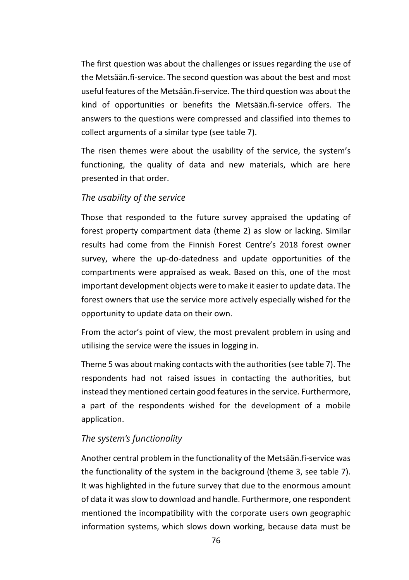The first question was about the challenges or issues regarding the use of the Metsään.fi-service. The second question was about the best and most useful features of the Metsään.fi-service. The third question was about the kind of opportunities or benefits the Metsään.fi-service offers. The answers to the questions were compressed and classified into themes to collect arguments of a similar type (see table 7).

The risen themes were about the usability of the service, the system's functioning, the quality of data and new materials, which are here presented in that order.

### *The usability of the service*

Those that responded to the future survey appraised the updating of forest property compartment data (theme 2) as slow or lacking. Similar results had come from the Finnish Forest Centre's 2018 forest owner survey, where the up-do-datedness and update opportunities of the compartments were appraised as weak. Based on this, one of the most important development objects were to make it easier to update data. The forest owners that use the service more actively especially wished for the opportunity to update data on their own.

From the actor's point of view, the most prevalent problem in using and utilising the service were the issues in logging in.

Theme 5 was about making contacts with the authorities (see table 7). The respondents had not raised issues in contacting the authorities, but instead they mentioned certain good features in the service. Furthermore, a part of the respondents wished for the development of a mobile application.

### *The system's functionality*

Another central problem in the functionality of the Metsään.fi-service was the functionality of the system in the background (theme 3, see table 7). It was highlighted in the future survey that due to the enormous amount of data it was slow to download and handle. Furthermore, one respondent mentioned the incompatibility with the corporate users own geographic information systems, which slows down working, because data must be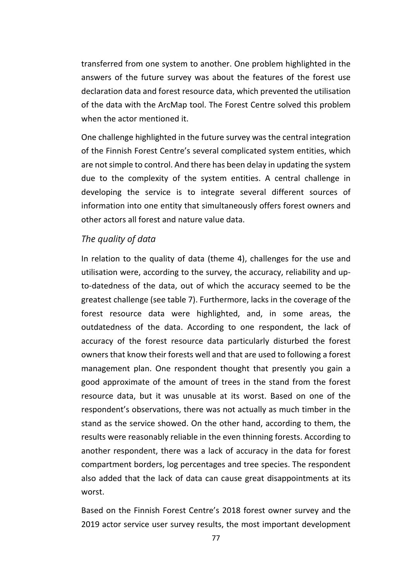transferred from one system to another. One problem highlighted in the answers of the future survey was about the features of the forest use declaration data and forest resource data, which prevented the utilisation of the data with the ArcMap tool. The Forest Centre solved this problem when the actor mentioned it.

One challenge highlighted in the future survey was the central integration of the Finnish Forest Centre's several complicated system entities, which are not simple to control. And there has been delay in updating the system due to the complexity of the system entities. A central challenge in developing the service is to integrate several different sources of information into one entity that simultaneously offers forest owners and other actors all forest and nature value data.

#### *The quality of data*

In relation to the quality of data (theme 4), challenges for the use and utilisation were, according to the survey, the accuracy, reliability and upto-datedness of the data, out of which the accuracy seemed to be the greatest challenge (see table 7). Furthermore, lacks in the coverage of the forest resource data were highlighted, and, in some areas, the outdatedness of the data. According to one respondent, the lack of accuracy of the forest resource data particularly disturbed the forest owners that know their forests well and that are used to following a forest management plan. One respondent thought that presently you gain a good approximate of the amount of trees in the stand from the forest resource data, but it was unusable at its worst. Based on one of the respondent's observations, there was not actually as much timber in the stand as the service showed. On the other hand, according to them, the results were reasonably reliable in the even thinning forests. According to another respondent, there was a lack of accuracy in the data for forest compartment borders, log percentages and tree species. The respondent also added that the lack of data can cause great disappointments at its worst.

Based on the Finnish Forest Centre's 2018 forest owner survey and the 2019 actor service user survey results, the most important development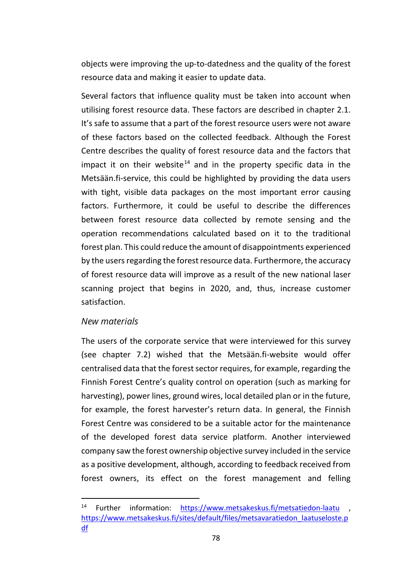objects were improving the up-to-datedness and the quality of the forest resource data and making it easier to update data.

Several factors that influence quality must be taken into account when utilising forest resource data. These factors are described in chapter 2.1. It's safe to assume that a part of the forest resource users were not aware of these factors based on the collected feedback. Although the Forest Centre describes the quality of forest resource data and the factors that impact it on their website<sup>[14](#page-78-0)</sup> and in the property specific data in the Metsään.fi-service, this could be highlighted by providing the data users with tight, visible data packages on the most important error causing factors. Furthermore, it could be useful to describe the differences between forest resource data collected by remote sensing and the operation recommendations calculated based on it to the traditional forest plan. This could reduce the amount of disappointments experienced by the users regarding the forest resource data. Furthermore, the accuracy of forest resource data will improve as a result of the new national laser scanning project that begins in 2020, and, thus, increase customer satisfaction.

## *New materials*

The users of the corporate service that were interviewed for this survey (see chapter 7.2) wished that the Metsään.fi-website would offer centralised data that the forest sector requires, for example, regarding the Finnish Forest Centre's quality control on operation (such as marking for harvesting), power lines, ground wires, local detailed plan or in the future, for example, the forest harvester's return data. In general, the Finnish Forest Centre was considered to be a suitable actor for the maintenance of the developed forest data service platform. Another interviewed company saw the forest ownership objective survey included in the service as a positive development, although, according to feedback received from forest owners, its effect on the forest management and felling

<span id="page-78-0"></span><sup>14</sup> Further information: <https://www.metsakeskus.fi/metsatiedon-laatu> , [https://www.metsakeskus.fi/sites/default/files/metsavaratiedon\\_laatuseloste.p](https://www.metsakeskus.fi/sites/default/files/metsavaratiedon_laatuseloste.pdf) [df](https://www.metsakeskus.fi/sites/default/files/metsavaratiedon_laatuseloste.pdf)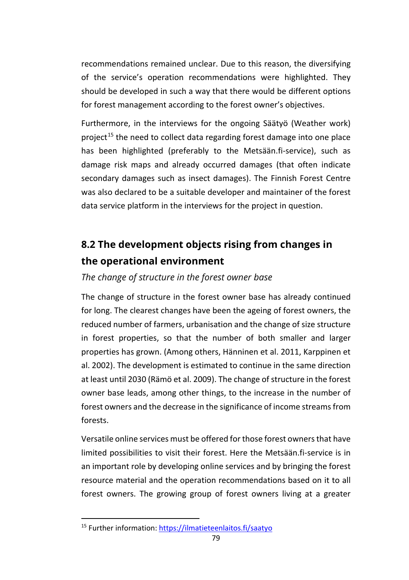recommendations remained unclear. Due to this reason, the diversifying of the service's operation recommendations were highlighted. They should be developed in such a way that there would be different options for forest management according to the forest owner's objectives.

Furthermore, in the interviews for the ongoing Säätyö (Weather work) project<sup>[15](#page-79-0)</sup> the need to collect data regarding forest damage into one place has been highlighted (preferably to the Metsään.fi-service), such as damage risk maps and already occurred damages (that often indicate secondary damages such as insect damages). The Finnish Forest Centre was also declared to be a suitable developer and maintainer of the forest data service platform in the interviews for the project in question.

# **8.2 The development objects rising from changes in the operational environment**

## *The change of structure in the forest owner base*

The change of structure in the forest owner base has already continued for long. The clearest changes have been the ageing of forest owners, the reduced number of farmers, urbanisation and the change of size structure in forest properties, so that the number of both smaller and larger properties has grown. (Among others, Hänninen et al. 2011, Karppinen et al. 2002). The development is estimated to continue in the same direction at least until 2030 (Rämö et al. 2009). The change of structure in the forest owner base leads, among other things, to the increase in the number of forest owners and the decrease in the significance of income streams from forests.

Versatile online services must be offered for those forest owners that have limited possibilities to visit their forest. Here the Metsään.fi-service is in an important role by developing online services and by bringing the forest resource material and the operation recommendations based on it to all forest owners. The growing group of forest owners living at a greater

<span id="page-79-0"></span><sup>15</sup> Further information:<https://ilmatieteenlaitos.fi/saatyo>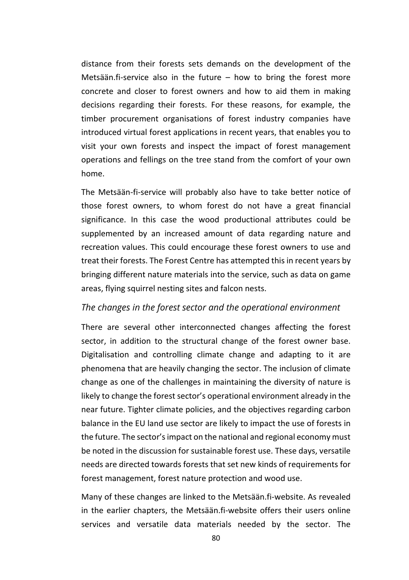distance from their forests sets demands on the development of the Metsään.fi-service also in the future – how to bring the forest more concrete and closer to forest owners and how to aid them in making decisions regarding their forests. For these reasons, for example, the timber procurement organisations of forest industry companies have introduced virtual forest applications in recent years, that enables you to visit your own forests and inspect the impact of forest management operations and fellings on the tree stand from the comfort of your own home.

The Metsään-fi-service will probably also have to take better notice of those forest owners, to whom forest do not have a great financial significance. In this case the wood productional attributes could be supplemented by an increased amount of data regarding nature and recreation values. This could encourage these forest owners to use and treat their forests. The Forest Centre has attempted this in recent years by bringing different nature materials into the service, such as data on game areas, flying squirrel nesting sites and falcon nests.

#### *The changes in the forest sector and the operational environment*

There are several other interconnected changes affecting the forest sector, in addition to the structural change of the forest owner base. Digitalisation and controlling climate change and adapting to it are phenomena that are heavily changing the sector. The inclusion of climate change as one of the challenges in maintaining the diversity of nature is likely to change the forest sector's operational environment already in the near future. Tighter climate policies, and the objectives regarding carbon balance in the EU land use sector are likely to impact the use of forests in the future. The sector's impact on the national and regional economy must be noted in the discussion for sustainable forest use. These days, versatile needs are directed towards forests that set new kinds of requirements for forest management, forest nature protection and wood use.

Many of these changes are linked to the Metsään.fi-website. As revealed in the earlier chapters, the Metsään.fi-website offers their users online services and versatile data materials needed by the sector. The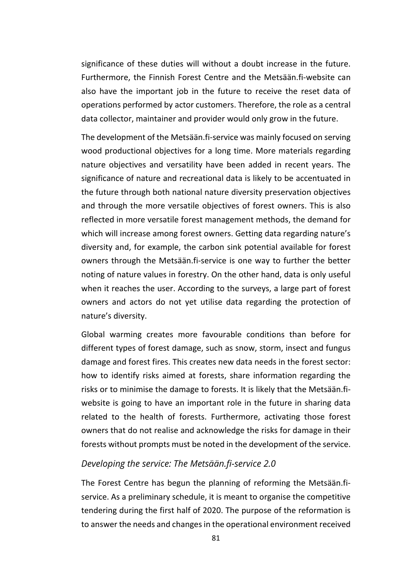significance of these duties will without a doubt increase in the future. Furthermore, the Finnish Forest Centre and the Metsään.fi-website can also have the important job in the future to receive the reset data of operations performed by actor customers. Therefore, the role as a central data collector, maintainer and provider would only grow in the future.

The development of the Metsään.fi-service was mainly focused on serving wood productional objectives for a long time. More materials regarding nature objectives and versatility have been added in recent years. The significance of nature and recreational data is likely to be accentuated in the future through both national nature diversity preservation objectives and through the more versatile objectives of forest owners. This is also reflected in more versatile forest management methods, the demand for which will increase among forest owners. Getting data regarding nature's diversity and, for example, the carbon sink potential available for forest owners through the Metsään.fi-service is one way to further the better noting of nature values in forestry. On the other hand, data is only useful when it reaches the user. According to the surveys, a large part of forest owners and actors do not yet utilise data regarding the protection of nature's diversity.

Global warming creates more favourable conditions than before for different types of forest damage, such as snow, storm, insect and fungus damage and forest fires. This creates new data needs in the forest sector: how to identify risks aimed at forests, share information regarding the risks or to minimise the damage to forests. It is likely that the Metsään.fiwebsite is going to have an important role in the future in sharing data related to the health of forests. Furthermore, activating those forest owners that do not realise and acknowledge the risks for damage in their forests without prompts must be noted in the development of the service.

#### *Developing the service: The Metsään.fi-service 2.0*

The Forest Centre has begun the planning of reforming the Metsään.fiservice. As a preliminary schedule, it is meant to organise the competitive tendering during the first half of 2020. The purpose of the reformation is to answer the needs and changes in the operational environment received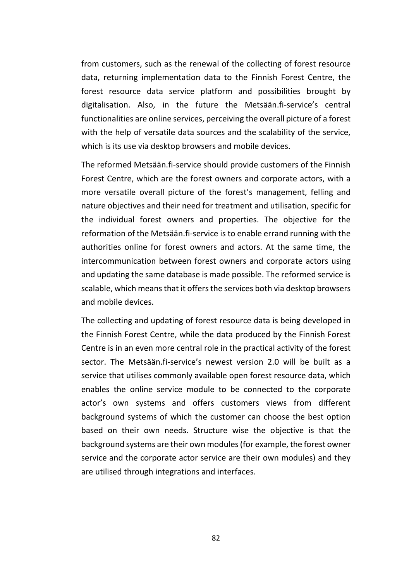from customers, such as the renewal of the collecting of forest resource data, returning implementation data to the Finnish Forest Centre, the forest resource data service platform and possibilities brought by digitalisation. Also, in the future the Metsään.fi-service's central functionalities are online services, perceiving the overall picture of a forest with the help of versatile data sources and the scalability of the service, which is its use via desktop browsers and mobile devices.

The reformed Metsään.fi-service should provide customers of the Finnish Forest Centre, which are the forest owners and corporate actors, with a more versatile overall picture of the forest's management, felling and nature objectives and their need for treatment and utilisation, specific for the individual forest owners and properties. The objective for the reformation of the Metsään.fi-service is to enable errand running with the authorities online for forest owners and actors. At the same time, the intercommunication between forest owners and corporate actors using and updating the same database is made possible. The reformed service is scalable, which means that it offers the services both via desktop browsers and mobile devices.

The collecting and updating of forest resource data is being developed in the Finnish Forest Centre, while the data produced by the Finnish Forest Centre is in an even more central role in the practical activity of the forest sector. The Metsään.fi-service's newest version 2.0 will be built as a service that utilises commonly available open forest resource data, which enables the online service module to be connected to the corporate actor's own systems and offers customers views from different background systems of which the customer can choose the best option based on their own needs. Structure wise the objective is that the background systems are their own modules (for example, the forest owner service and the corporate actor service are their own modules) and they are utilised through integrations and interfaces.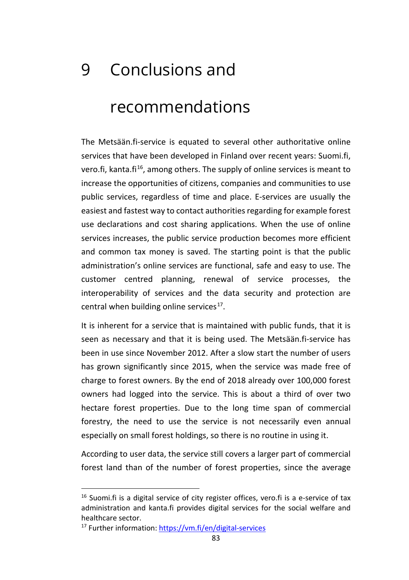# 9 Conclusions and recommendations

The Metsään.fi-service is equated to several other authoritative online services that have been developed in Finland over recent years: Suomi.fi, vero.fi, kanta.fi<sup>[16](#page-83-0)</sup>, among others. The supply of online services is meant to increase the opportunities of citizens, companies and communities to use public services, regardless of time and place. E-services are usually the easiest and fastest way to contact authorities regarding for example forest use declarations and cost sharing applications. When the use of online services increases, the public service production becomes more efficient and common tax money is saved. The starting point is that the public administration's online services are functional, safe and easy to use. The customer centred planning, renewal of service processes, the interoperability of services and the data security and protection are central when building online services $^{17}$  $^{17}$  $^{17}$ .

It is inherent for a service that is maintained with public funds, that it is seen as necessary and that it is being used. The Metsään.fi-service has been in use since November 2012. After a slow start the number of users has grown significantly since 2015, when the service was made free of charge to forest owners. By the end of 2018 already over 100,000 forest owners had logged into the service. This is about a third of over two hectare forest properties. Due to the long time span of commercial forestry, the need to use the service is not necessarily even annual especially on small forest holdings, so there is no routine in using it.

According to user data, the service still covers a larger part of commercial forest land than of the number of forest properties, since the average

<span id="page-83-0"></span> $16$  Suomi.fi is a digital service of city register offices, vero.fi is a e-service of tax administration and kanta.fi provides digital services for the social welfare and healthcare sector.

<span id="page-83-1"></span><sup>17</sup> Further information:<https://vm.fi/en/digital-services>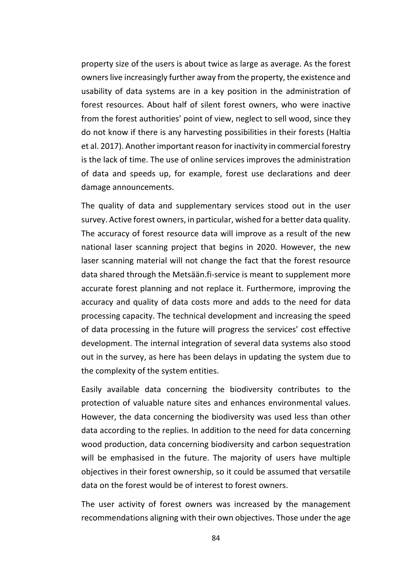property size of the users is about twice as large as average. As the forest owners live increasingly further away from the property, the existence and usability of data systems are in a key position in the administration of forest resources. About half of silent forest owners, who were inactive from the forest authorities' point of view, neglect to sell wood, since they do not know if there is any harvesting possibilities in their forests (Haltia et al. 2017). Another important reason for inactivity in commercial forestry is the lack of time. The use of online services improves the administration of data and speeds up, for example, forest use declarations and deer damage announcements.

The quality of data and supplementary services stood out in the user survey. Active forest owners, in particular, wished for a better data quality. The accuracy of forest resource data will improve as a result of the new national laser scanning project that begins in 2020. However, the new laser scanning material will not change the fact that the forest resource data shared through the Metsään.fi-service is meant to supplement more accurate forest planning and not replace it. Furthermore, improving the accuracy and quality of data costs more and adds to the need for data processing capacity. The technical development and increasing the speed of data processing in the future will progress the services' cost effective development. The internal integration of several data systems also stood out in the survey, as here has been delays in updating the system due to the complexity of the system entities.

Easily available data concerning the biodiversity contributes to the protection of valuable nature sites and enhances environmental values. However, the data concerning the biodiversity was used less than other data according to the replies. In addition to the need for data concerning wood production, data concerning biodiversity and carbon sequestration will be emphasised in the future. The majority of users have multiple objectives in their forest ownership, so it could be assumed that versatile data on the forest would be of interest to forest owners.

The user activity of forest owners was increased by the management recommendations aligning with their own objectives. Those under the age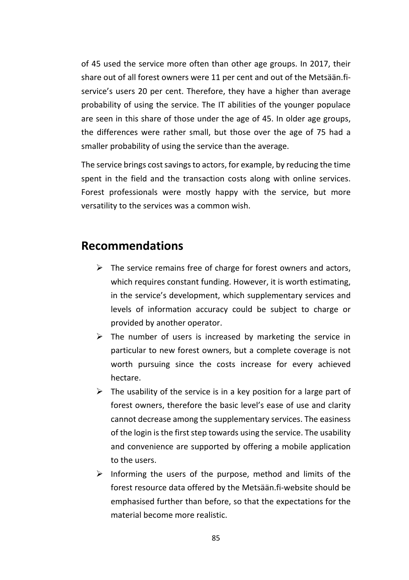of 45 used the service more often than other age groups. In 2017, their share out of all forest owners were 11 per cent and out of the Metsään.fiservice's users 20 per cent. Therefore, they have a higher than average probability of using the service. The IT abilities of the younger populace are seen in this share of those under the age of 45. In older age groups, the differences were rather small, but those over the age of 75 had a smaller probability of using the service than the average.

The service brings cost savings to actors, for example, by reducing the time spent in the field and the transaction costs along with online services. Forest professionals were mostly happy with the service, but more versatility to the services was a common wish.

# **Recommendations**

- $\triangleright$  The service remains free of charge for forest owners and actors, which requires constant funding. However, it is worth estimating, in the service's development, which supplementary services and levels of information accuracy could be subject to charge or provided by another operator.
- $\triangleright$  The number of users is increased by marketing the service in particular to new forest owners, but a complete coverage is not worth pursuing since the costs increase for every achieved hectare.
- $\triangleright$  The usability of the service is in a key position for a large part of forest owners, therefore the basic level's ease of use and clarity cannot decrease among the supplementary services. The easiness of the login is the first step towards using the service. The usability and convenience are supported by offering a mobile application to the users.
- $\triangleright$  Informing the users of the purpose, method and limits of the forest resource data offered by the Metsään.fi-website should be emphasised further than before, so that the expectations for the material become more realistic.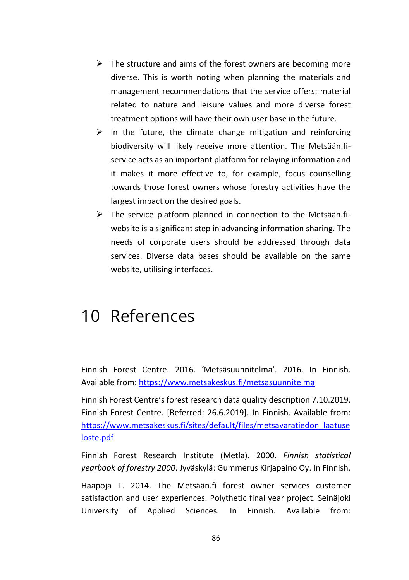- $\triangleright$  The structure and aims of the forest owners are becoming more diverse. This is worth noting when planning the materials and management recommendations that the service offers: material related to nature and leisure values and more diverse forest treatment options will have their own user base in the future.
- $\triangleright$  In the future, the climate change mitigation and reinforcing biodiversity will likely receive more attention. The Metsään.fiservice acts as an important platform for relaying information and it makes it more effective to, for example, focus counselling towards those forest owners whose forestry activities have the largest impact on the desired goals.
- $\triangleright$  The service platform planned in connection to the Metsään.fiwebsite is a significant step in advancing information sharing. The needs of corporate users should be addressed through data services. Diverse data bases should be available on the same website, utilising interfaces.

# 10 References

Finnish Forest Centre. 2016. 'Metsäsuunnitelma'. 2016. In Finnish. Available from[: https://www.metsakeskus.fi/metsasuunnitelma](https://www.metsakeskus.fi/metsasuunnitelma)

Finnish Forest Centre's forest research data quality description 7.10.2019. Finnish Forest Centre. [Referred: 26.6.2019]. In Finnish. Available from: [https://www.metsakeskus.fi/sites/default/files/metsavaratiedon\\_laatuse](https://www.metsakeskus.fi/sites/default/files/metsavaratiedon_laatuseloste.pdf) [loste.pdf](https://www.metsakeskus.fi/sites/default/files/metsavaratiedon_laatuseloste.pdf)

Finnish Forest Research Institute (Metla). 2000. *Finnish statistical yearbook of forestry 2000*. Jyväskylä: Gummerus Kirjapaino Oy. In Finnish.

Haapoja T. 2014. The Metsään.fi forest owner services customer satisfaction and user experiences. Polythetic final year project. Seinäjoki University of Applied Sciences. In Finnish. Available from: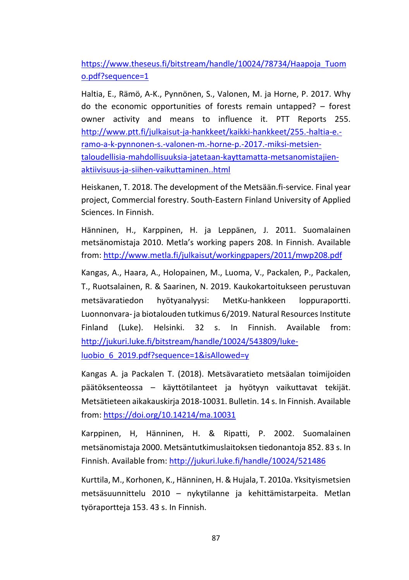[https://www.theseus.fi/bitstream/handle/10024/78734/Haapoja\\_Tuom](https://www.theseus.fi/bitstream/handle/10024/78734/Haapoja_Tuomo.pdf?sequence=1) [o.pdf?sequence=1](https://www.theseus.fi/bitstream/handle/10024/78734/Haapoja_Tuomo.pdf?sequence=1)

Haltia, E., Rämö, A-K., Pynnönen, S., Valonen, M. ja Horne, P. 2017. Why do the economic opportunities of forests remain untapped? – forest owner activity and means to influence it. PTT Reports 255. [http://www.ptt.fi/julkaisut-ja-hankkeet/kaikki-hankkeet/255.-haltia-e.](http://www.ptt.fi/julkaisut-ja-hankkeet/kaikki-hankkeet/255.-haltia-e.-ramo-a-k-pynnonen-s.-valonen-m.-horne-p.-2017.-miksi-metsien-taloudellisia-mahdollisuuksia-jatetaan-kayttamatta-metsanomistajien-aktiivisuus-ja-siihen-vaikuttaminen..html) [ramo-a-k-pynnonen-s.-valonen-m.-horne-p.-2017.-miksi-metsien](http://www.ptt.fi/julkaisut-ja-hankkeet/kaikki-hankkeet/255.-haltia-e.-ramo-a-k-pynnonen-s.-valonen-m.-horne-p.-2017.-miksi-metsien-taloudellisia-mahdollisuuksia-jatetaan-kayttamatta-metsanomistajien-aktiivisuus-ja-siihen-vaikuttaminen..html)[taloudellisia-mahdollisuuksia-jatetaan-kayttamatta-metsanomistajien](http://www.ptt.fi/julkaisut-ja-hankkeet/kaikki-hankkeet/255.-haltia-e.-ramo-a-k-pynnonen-s.-valonen-m.-horne-p.-2017.-miksi-metsien-taloudellisia-mahdollisuuksia-jatetaan-kayttamatta-metsanomistajien-aktiivisuus-ja-siihen-vaikuttaminen..html)[aktiivisuus-ja-siihen-vaikuttaminen..html](http://www.ptt.fi/julkaisut-ja-hankkeet/kaikki-hankkeet/255.-haltia-e.-ramo-a-k-pynnonen-s.-valonen-m.-horne-p.-2017.-miksi-metsien-taloudellisia-mahdollisuuksia-jatetaan-kayttamatta-metsanomistajien-aktiivisuus-ja-siihen-vaikuttaminen..html)

Heiskanen, T. 2018. The development of the Metsään.fi-service. Final year project, Commercial forestry. South-Eastern Finland University of Applied Sciences. In Finnish.

Hänninen, H., Karppinen, H. ja Leppänen, J. 2011. Suomalainen metsänomistaja 2010. Metla's working papers 208. In Finnish. Available from:<http://www.metla.fi/julkaisut/workingpapers/2011/mwp208.pdf>

Kangas, A., Haara, A., Holopainen, M., Luoma, V., Packalen, P., Packalen, T., Ruotsalainen, R. & Saarinen, N. 2019. Kaukokartoitukseen perustuvan metsävaratiedon hyötyanalyysi: MetKu-hankkeen loppuraportti. Luonnonvara- ja biotalouden tutkimus 6/2019. Natural Resources Institute Finland (Luke). Helsinki. 32 s. In Finnish. Available from: [http://jukuri.luke.fi/bitstream/handle/10024/543809/luke](http://jukuri.luke.fi/bitstream/handle/10024/543809/luke-luobio_6_2019.pdf?sequence=1&isAllowed=y)[luobio\\_6\\_2019.pdf?sequence=1&isAllowed=y](http://jukuri.luke.fi/bitstream/handle/10024/543809/luke-luobio_6_2019.pdf?sequence=1&isAllowed=y)

Kangas A. ja Packalen T. (2018). Metsävaratieto metsäalan toimijoiden päätöksenteossa – käyttötilanteet ja hyötyyn vaikuttavat tekijät. Metsätieteen aikakauskirja 2018-10031. Bulletin. 14 s. In Finnish. Available from:<https://doi.org/10.14214/ma.10031>

Karppinen, H, Hänninen, H. & Ripatti, P. 2002. Suomalainen metsänomistaja 2000. Metsäntutkimuslaitoksen tiedonantoja 852. 83 s. In Finnish. Available from[: http://jukuri.luke.fi/handle/10024/521486](http://jukuri.luke.fi/handle/10024/521486)

Kurttila, M., Korhonen, K., Hänninen, H. & Hujala, T. 2010a. Yksityismetsien metsäsuunnittelu 2010 – nykytilanne ja kehittämistarpeita. Metlan työraportteja 153. 43 s. In Finnish.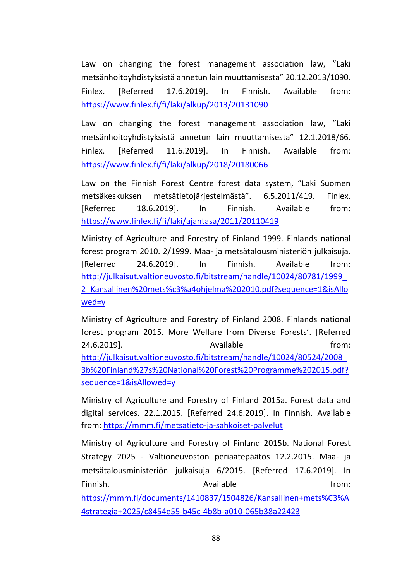Law on changing the forest management association law, "Laki metsänhoitoyhdistyksistä annetun lain muuttamisesta" 20.12.2013/1090. Finlex. [Referred 17.6.2019]. In Finnish. Available from: <https://www.finlex.fi/fi/laki/alkup/2013/20131090>

Law on changing the forest management association law, "Laki metsänhoitoyhdistyksistä annetun lain muuttamisesta" 12.1.2018/66. Finlex. [Referred 11.6.2019]. In Finnish. Available from: <https://www.finlex.fi/fi/laki/alkup/2018/20180066>

Law on the Finnish Forest Centre forest data system, "Laki Suomen metsäkeskuksen metsätietojärjestelmästä". 6.5.2011/419. Finlex. [Referred 18.6.2019]. In Finnish. Available from: <https://www.finlex.fi/fi/laki/ajantasa/2011/20110419>

Ministry of Agriculture and Forestry of Finland 1999. Finlands national forest program 2010. 2/1999. Maa- ja metsätalousministeriön julkaisuja. [Referred 24.6.2019]. In Finnish. Available from: [http://julkaisut.valtioneuvosto.fi/bitstream/handle/10024/80781/1999\\_](http://julkaisut.valtioneuvosto.fi/bitstream/handle/10024/80526/2008_3%20Kansallinen%20mets%C3%A4ohjelma%202010.pdf?sequence=1&isAllowed=y) [2\\_Kansallinen%20mets%c3%a4ohjelma%202010.pdf?sequence=1&isAllo](http://julkaisut.valtioneuvosto.fi/bitstream/handle/10024/80526/2008_3%20Kansallinen%20mets%C3%A4ohjelma%202010.pdf?sequence=1&isAllowed=y) [wed=y](http://julkaisut.valtioneuvosto.fi/bitstream/handle/10024/80526/2008_3%20Kansallinen%20mets%C3%A4ohjelma%202010.pdf?sequence=1&isAllowed=y)

Ministry of Agriculture and Forestry of Finland 2008. Finlands national forest program 2015. More Welfare from Diverse Forests'. [Referred 24.6.2019]. Available **Example 24.6.2019** 

[http://julkaisut.valtioneuvosto.fi/bitstream/handle/10024/80524/2008\\_](http://julkaisut.valtioneuvosto.fi/bitstream/handle/10024/80524/2008_3b%20Finland%27s%20National%20Forest%20Programme%202015.pdf?sequence=1&isAllowed=y) [3b%20Finland%27s%20National%20Forest%20Programme%202015.pdf?](http://julkaisut.valtioneuvosto.fi/bitstream/handle/10024/80524/2008_3b%20Finland%27s%20National%20Forest%20Programme%202015.pdf?sequence=1&isAllowed=y) [sequence=1&isAllowed=y](http://julkaisut.valtioneuvosto.fi/bitstream/handle/10024/80524/2008_3b%20Finland%27s%20National%20Forest%20Programme%202015.pdf?sequence=1&isAllowed=y)

Ministry of Agriculture and Forestry of Finland 2015a. Forest data and digital services. 22.1.2015. [Referred 24.6.2019]. In Finnish. Available from:<https://mmm.fi/metsatieto-ja-sahkoiset-palvelut>

Ministry of Agriculture and Forestry of Finland 2015b. National Forest Strategy 2025 - Valtioneuvoston periaatepäätös 12.2.2015. Maa- ja metsätalousministeriön julkaisuja 6/2015. [Referred 17.6.2019]. In Finnish. **Available Example 1** Available **from:** 

[https://mmm.fi/documents/1410837/1504826/Kansallinen+mets%C3%A](https://mmm.fi/documents/1410837/1504826/Kansallinen+mets%C3%A4strategia+2025/c8454e55-b45c-4b8b-a010-065b38a22423) [4strategia+2025/c8454e55-b45c-4b8b-a010-065b38a22423](https://mmm.fi/documents/1410837/1504826/Kansallinen+mets%C3%A4strategia+2025/c8454e55-b45c-4b8b-a010-065b38a22423)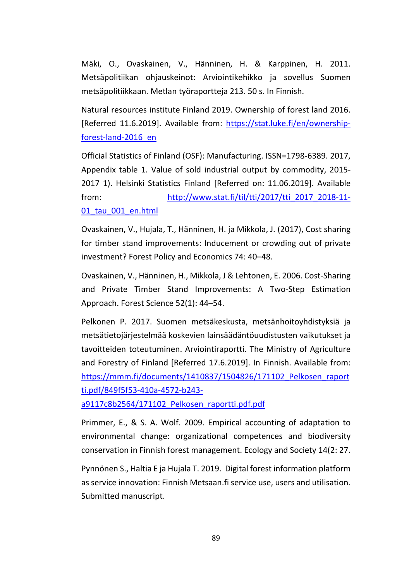Mäki, O., Ovaskainen, V., Hänninen, H. & Karppinen, H. 2011. Metsäpolitiikan ohjauskeinot: Arviointikehikko ja sovellus Suomen metsäpolitiikkaan. Metlan työraportteja 213. 50 s. In Finnish.

Natural resources institute Finland 2019. Ownership of forest land 2016. [Referred 11.6.2019]. Available from: [https://stat.luke.fi/en/ownership](https://stat.luke.fi/en/ownership-forest-land-2016_en)[forest-land-2016\\_en](https://stat.luke.fi/en/ownership-forest-land-2016_en)

Official Statistics of Finland (OSF): Manufacturing. ISSN=1798-6389. 2017, Appendix table 1. Value of sold industrial output by commodity, 2015- 2017 1). Helsinki Statistics Finland [Referred on: 11.06.2019]. Available from: http://www.stat.fi/til/tti/2017/tti\_2017\_2018-11-

## 01\_tau\_001\_en.html

Ovaskainen, V., Hujala, T., Hänninen, H. ja Mikkola, J. (2017), Cost sharing for timber stand improvements: Inducement or crowding out of private investment? Forest Policy and Economics 74: 40–48.

Ovaskainen, V., Hänninen, H., Mikkola, J & Lehtonen, E. 2006. Cost-Sharing and Private Timber Stand Improvements: A Two-Step Estimation Approach. Forest Science 52(1): 44–54.

Pelkonen P. 2017. Suomen metsäkeskusta, metsänhoitoyhdistyksiä ja metsätietojärjestelmää koskevien lainsäädäntöuudistusten vaikutukset ja tavoitteiden toteutuminen. Arviointiraportti. The Ministry of Agriculture and Forestry of Finland [Referred 17.6.2019]. In Finnish. Available from: [https://mmm.fi/documents/1410837/1504826/171102\\_Pelkosen\\_raport](https://mmm.fi/documents/1410837/1504826/171102_Pelkosen_raportti.pdf/849f5f53-410a-4572-b243-a9117c8b2564/171102_Pelkosen_raportti.pdf.pdf) [ti.pdf/849f5f53-410a-4572-b243-](https://mmm.fi/documents/1410837/1504826/171102_Pelkosen_raportti.pdf/849f5f53-410a-4572-b243-a9117c8b2564/171102_Pelkosen_raportti.pdf.pdf)

[a9117c8b2564/171102\\_Pelkosen\\_raportti.pdf.pdf](https://mmm.fi/documents/1410837/1504826/171102_Pelkosen_raportti.pdf/849f5f53-410a-4572-b243-a9117c8b2564/171102_Pelkosen_raportti.pdf.pdf)

Primmer, E., & S. A. Wolf. 2009. Empirical accounting of adaptation to environmental change: organizational competences and biodiversity conservation in Finnish forest management. Ecology and Society 14(2: 27.

Pynnönen S., Haltia E ja Hujala T. 2019. Digital forest information platform as service innovation: Finnish Metsaan.fi service use, users and utilisation. Submitted manuscript.